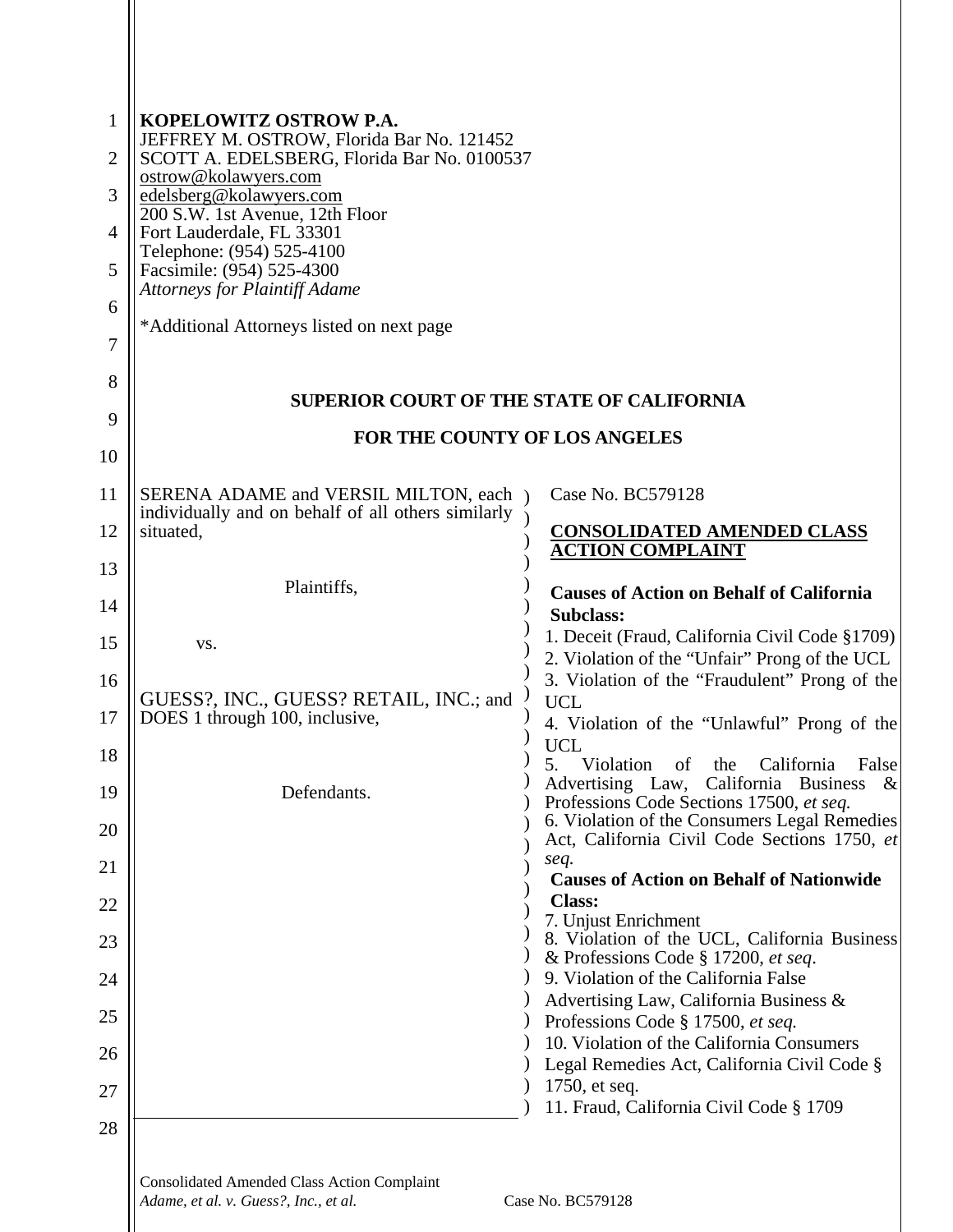| 1              | KOPELOWITZ OSTROW P.A.                                                                                |                                                                                                 |  |
|----------------|-------------------------------------------------------------------------------------------------------|-------------------------------------------------------------------------------------------------|--|
| $\overline{2}$ | JEFFREY M. OSTROW, Florida Bar No. 121452<br>SCOTT A. EDELSBERG, Florida Bar No. 0100537              |                                                                                                 |  |
| 3              | ostrow@kolawyers.com<br>edelsberg@kolawyers.com                                                       |                                                                                                 |  |
| 4              | 200 S.W. 1st Avenue, 12th Floor<br>Fort Lauderdale, FL 33301                                          |                                                                                                 |  |
| 5              | Telephone: (954) 525-4100<br>Facsimile: (954) 525-4300                                                |                                                                                                 |  |
| 6              | <b>Attorneys for Plaintiff Adame</b>                                                                  |                                                                                                 |  |
| 7              | *Additional Attorneys listed on next page                                                             |                                                                                                 |  |
| 8              | <b>SUPERIOR COURT OF THE STATE OF CALIFORNIA</b>                                                      |                                                                                                 |  |
| 9              | FOR THE COUNTY OF LOS ANGELES                                                                         |                                                                                                 |  |
| 10             |                                                                                                       |                                                                                                 |  |
| 11             | SERENA ADAME and VERSIL MILTON, each )<br>individually and on behalf of all others similarly $\gamma$ | Case No. BC579128                                                                               |  |
| 12             | situated,                                                                                             | <b>CONSOLIDATED AMENDED CLASS</b><br><b>ACTION COMPLAINT</b>                                    |  |
| 13             | Plaintiffs,                                                                                           |                                                                                                 |  |
| 14             |                                                                                                       | <b>Causes of Action on Behalf of California</b><br><b>Subclass:</b>                             |  |
| 15             | VS.                                                                                                   | 1. Deceit (Fraud, California Civil Code §1709)<br>2. Violation of the "Unfair" Prong of the UCL |  |
| 16             | GUESS?, INC., GUESS? RETAIL, INC.; and                                                                | 3. Violation of the "Fraudulent" Prong of the<br><b>UCL</b>                                     |  |
| 17             | DOES 1 through 100, inclusive,                                                                        | 4. Violation of the "Unlawful" Prong of the                                                     |  |
| 18             |                                                                                                       | <b>UCL</b><br>Violation of the California False                                                 |  |
| 19             | Defendants.                                                                                           | Advertising Law, California Business<br>$\&$<br>Professions Code Sections 17500, et seq.        |  |
| 20             |                                                                                                       | 6. Violation of the Consumers Legal Remedies<br>Act, California Civil Code Sections 1750, et    |  |
| 21             |                                                                                                       | seq.<br><b>Causes of Action on Behalf of Nationwide</b>                                         |  |
| 22             |                                                                                                       | <b>Class:</b><br>7. Unjust Enrichment                                                           |  |
| 23             |                                                                                                       | 8. Violation of the UCL, California Business<br>& Professions Code § 17200, et seq.             |  |
| 24             |                                                                                                       | 9. Violation of the California False                                                            |  |
| 25             |                                                                                                       | Advertising Law, California Business &<br>Professions Code § 17500, et seq.                     |  |
| 26             |                                                                                                       | 10. Violation of the California Consumers<br>Legal Remedies Act, California Civil Code §        |  |
| 27             |                                                                                                       | 1750, et seq.                                                                                   |  |
| 28             |                                                                                                       | 11. Fraud, California Civil Code § 1709                                                         |  |
|                |                                                                                                       |                                                                                                 |  |

Consolidated Amended Class Action Complaint<br>Adame. et al. y. Guess<sup>2</sup>. Inc., et al. *Adame, et al. v. Guess?, Inc., et al.* **Case No. BC579128**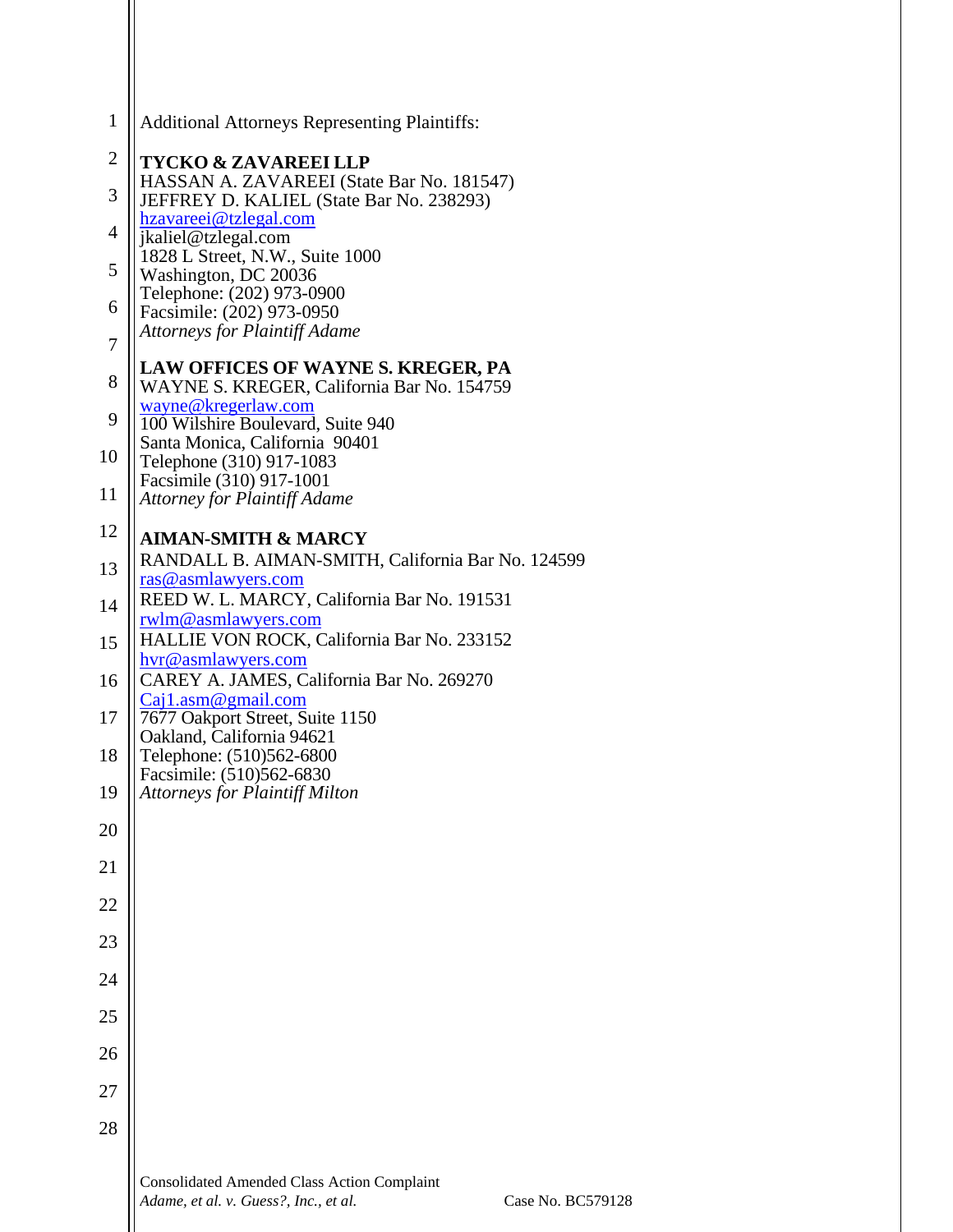| $\mathbf{1}$   | <b>Additional Attorneys Representing Plaintiffs:</b>                                                             |  |  |
|----------------|------------------------------------------------------------------------------------------------------------------|--|--|
| $\overline{2}$ | <b>TYCKO &amp; ZAVAREEI LLP</b>                                                                                  |  |  |
| 3              | HASSAN A. ZAVAREEI (State Bar No. 181547)<br>JEFFREY D. KALIEL (State Bar No. 238293)                            |  |  |
| $\overline{4}$ | hzavareei@tzlegal.com<br>jkaliel@tzlegal.com                                                                     |  |  |
| 5              | 1828 L Street, N.W., Suite 1000                                                                                  |  |  |
|                | Washington, DC 20036<br>Telephone: (202) 973-0900                                                                |  |  |
| 6              | Facsimile: (202) 973-0950<br><b>Attorneys for Plaintiff Adame</b>                                                |  |  |
| 7              | LAW OFFICES OF WAYNE S. KREGER, PA                                                                               |  |  |
| 8              | WAYNE S. KREGER, California Bar No. 154759                                                                       |  |  |
| 9              | wayne@kregerlaw.com<br>100 Wilshire Boulevard, Suite 940                                                         |  |  |
| 10             | Santa Monica, California 90401<br>Telephone (310) 917-1083                                                       |  |  |
| 11             | Facsimile (310) 917-1001<br><b>Attorney for Plaintiff Adame</b>                                                  |  |  |
| 12             |                                                                                                                  |  |  |
| 13             | <b>AIMAN-SMITH &amp; MARCY</b><br>RANDALL B. AIMAN-SMITH, California Bar No. 124599                              |  |  |
|                | ras@asmlawyers.com<br>REED W. L. MARCY, California Bar No. 191531                                                |  |  |
| 14             | rwlm@asmlawyers.com                                                                                              |  |  |
| 15             | HALLIE VON ROCK, California Bar No. 233152<br>hvr@asmlawyers.com                                                 |  |  |
| 16             | CAREY A. JAMES, California Bar No. 269270<br>Caj1.asm@gmail.com                                                  |  |  |
| 17             | 7677 Oakport Street, Suite 1150                                                                                  |  |  |
| 18             | Oakland, California 94621<br>Telephone: (510)562-6800                                                            |  |  |
| 19             | Facsimile: (510)562-6830<br><b>Attorneys for Plaintiff Milton</b>                                                |  |  |
| 20             |                                                                                                                  |  |  |
| 21             |                                                                                                                  |  |  |
| 22             |                                                                                                                  |  |  |
| 23             |                                                                                                                  |  |  |
|                |                                                                                                                  |  |  |
| 24             |                                                                                                                  |  |  |
| 25             |                                                                                                                  |  |  |
| 26             |                                                                                                                  |  |  |
| 27             |                                                                                                                  |  |  |
| 28             |                                                                                                                  |  |  |
|                |                                                                                                                  |  |  |
|                | <b>Consolidated Amended Class Action Complaint</b><br>Adame, et al. v. Guess?, Inc., et al.<br>Case No. BC579128 |  |  |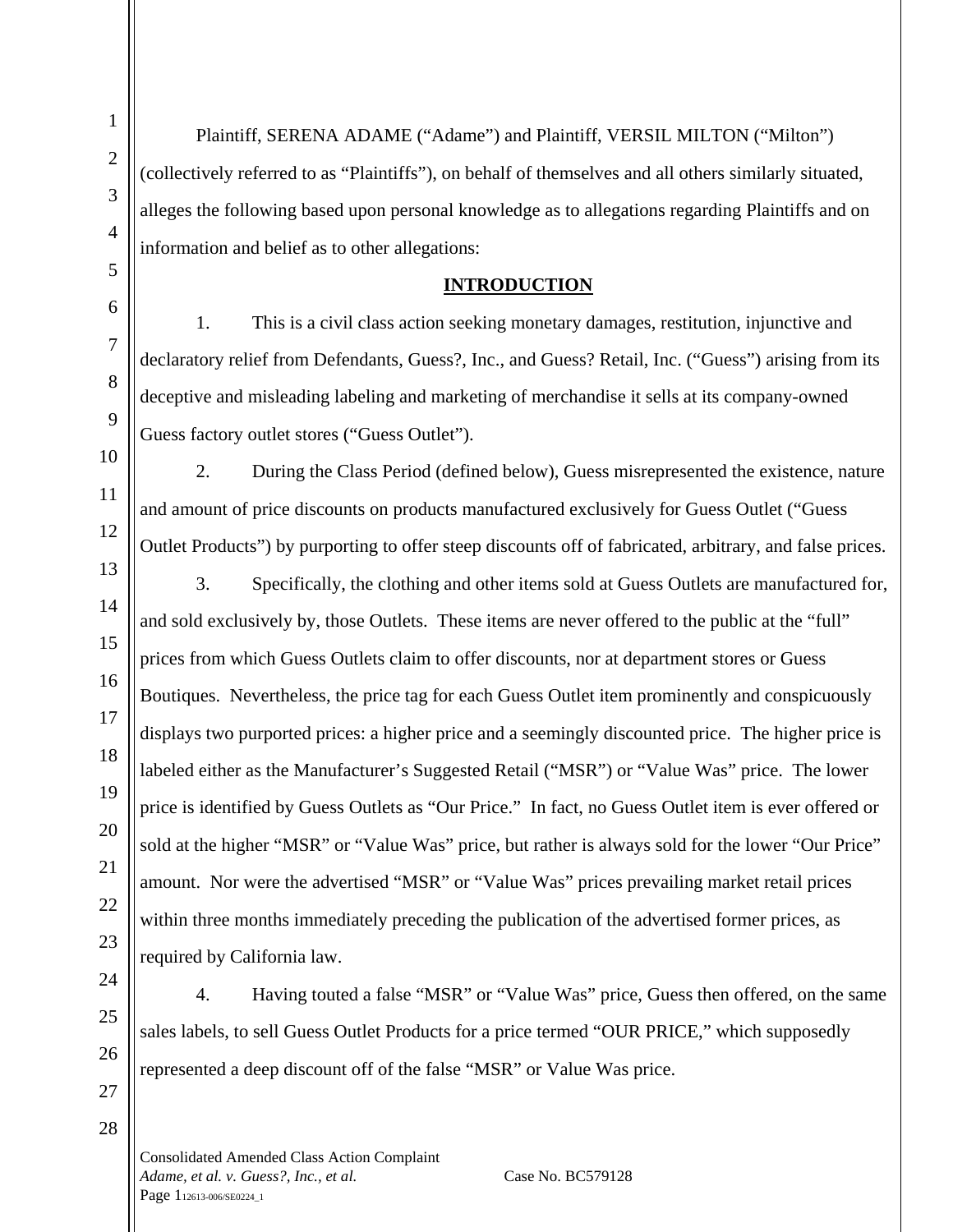Plaintiff, SERENA ADAME ("Adame") and Plaintiff, VERSIL MILTON ("Milton") (collectively referred to as "Plaintiffs"), on behalf of themselves and all others similarly situated, alleges the following based upon personal knowledge as to allegations regarding Plaintiffs and on information and belief as to other allegations:

# **INTRODUCTION**

1. This is a civil class action seeking monetary damages, restitution, injunctive and declaratory relief from Defendants, Guess?, Inc., and Guess? Retail, Inc. ("Guess") arising from its deceptive and misleading labeling and marketing of merchandise it sells at its company-owned Guess factory outlet stores ("Guess Outlet").

2. During the Class Period (defined below), Guess misrepresented the existence, nature and amount of price discounts on products manufactured exclusively for Guess Outlet ("Guess Outlet Products") by purporting to offer steep discounts off of fabricated, arbitrary, and false prices.

3. Specifically, the clothing and other items sold at Guess Outlets are manufactured for, and sold exclusively by, those Outlets. These items are never offered to the public at the "full" prices from which Guess Outlets claim to offer discounts, nor at department stores or Guess Boutiques. Nevertheless, the price tag for each Guess Outlet item prominently and conspicuously displays two purported prices: a higher price and a seemingly discounted price. The higher price is labeled either as the Manufacturer's Suggested Retail ("MSR") or "Value Was" price. The lower price is identified by Guess Outlets as "Our Price." In fact, no Guess Outlet item is ever offered or sold at the higher "MSR" or "Value Was" price, but rather is always sold for the lower "Our Price" amount. Nor were the advertised "MSR" or "Value Was" prices prevailing market retail prices within three months immediately preceding the publication of the advertised former prices, as required by California law.

4. Having touted a false "MSR" or "Value Was" price, Guess then offered, on the same sales labels, to sell Guess Outlet Products for a price termed "OUR PRICE," which supposedly represented a deep discount off of the false "MSR" or Value Was price.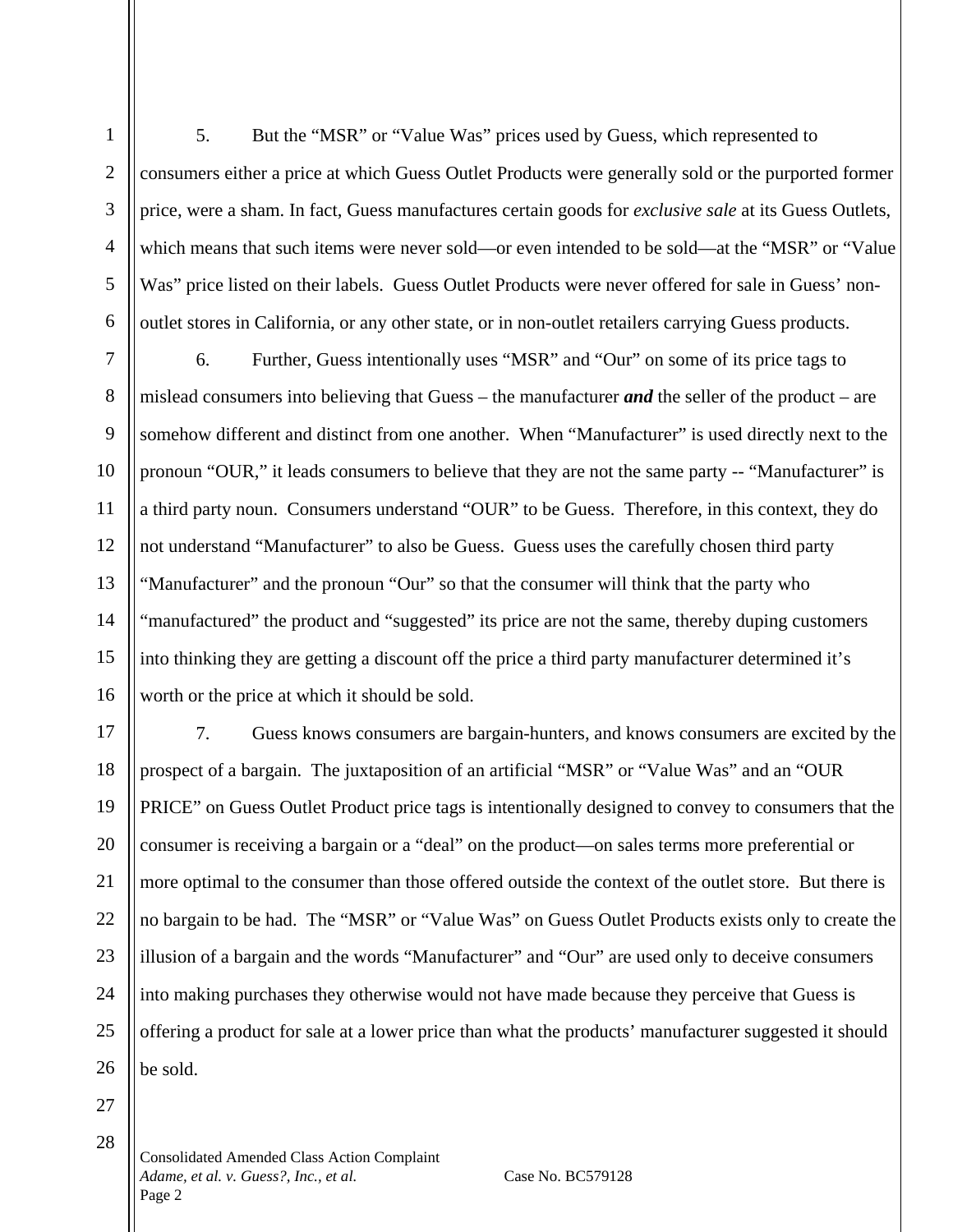5. But the "MSR" or "Value Was" prices used by Guess, which represented to consumers either a price at which Guess Outlet Products were generally sold or the purported former price, were a sham. In fact, Guess manufactures certain goods for *exclusive sale* at its Guess Outlets, which means that such items were never sold—or even intended to be sold—at the "MSR" or "Value Was" price listed on their labels. Guess Outlet Products were never offered for sale in Guess' nonoutlet stores in California, or any other state, or in non-outlet retailers carrying Guess products.

6. Further, Guess intentionally uses "MSR" and "Our" on some of its price tags to mislead consumers into believing that Guess – the manufacturer *and* the seller of the product – are somehow different and distinct from one another. When "Manufacturer" is used directly next to the pronoun "OUR," it leads consumers to believe that they are not the same party -- "Manufacturer" is a third party noun. Consumers understand "OUR" to be Guess. Therefore, in this context, they do not understand "Manufacturer" to also be Guess. Guess uses the carefully chosen third party "Manufacturer" and the pronoun "Our" so that the consumer will think that the party who "manufactured" the product and "suggested" its price are not the same, thereby duping customers into thinking they are getting a discount off the price a third party manufacturer determined it's worth or the price at which it should be sold.

7. Guess knows consumers are bargain-hunters, and knows consumers are excited by the prospect of a bargain. The juxtaposition of an artificial "MSR" or "Value Was" and an "OUR PRICE" on Guess Outlet Product price tags is intentionally designed to convey to consumers that the consumer is receiving a bargain or a "deal" on the product—on sales terms more preferential or more optimal to the consumer than those offered outside the context of the outlet store. But there is no bargain to be had. The "MSR" or "Value Was" on Guess Outlet Products exists only to create the illusion of a bargain and the words "Manufacturer" and "Our" are used only to deceive consumers into making purchases they otherwise would not have made because they perceive that Guess is offering a product for sale at a lower price than what the products' manufacturer suggested it should be sold.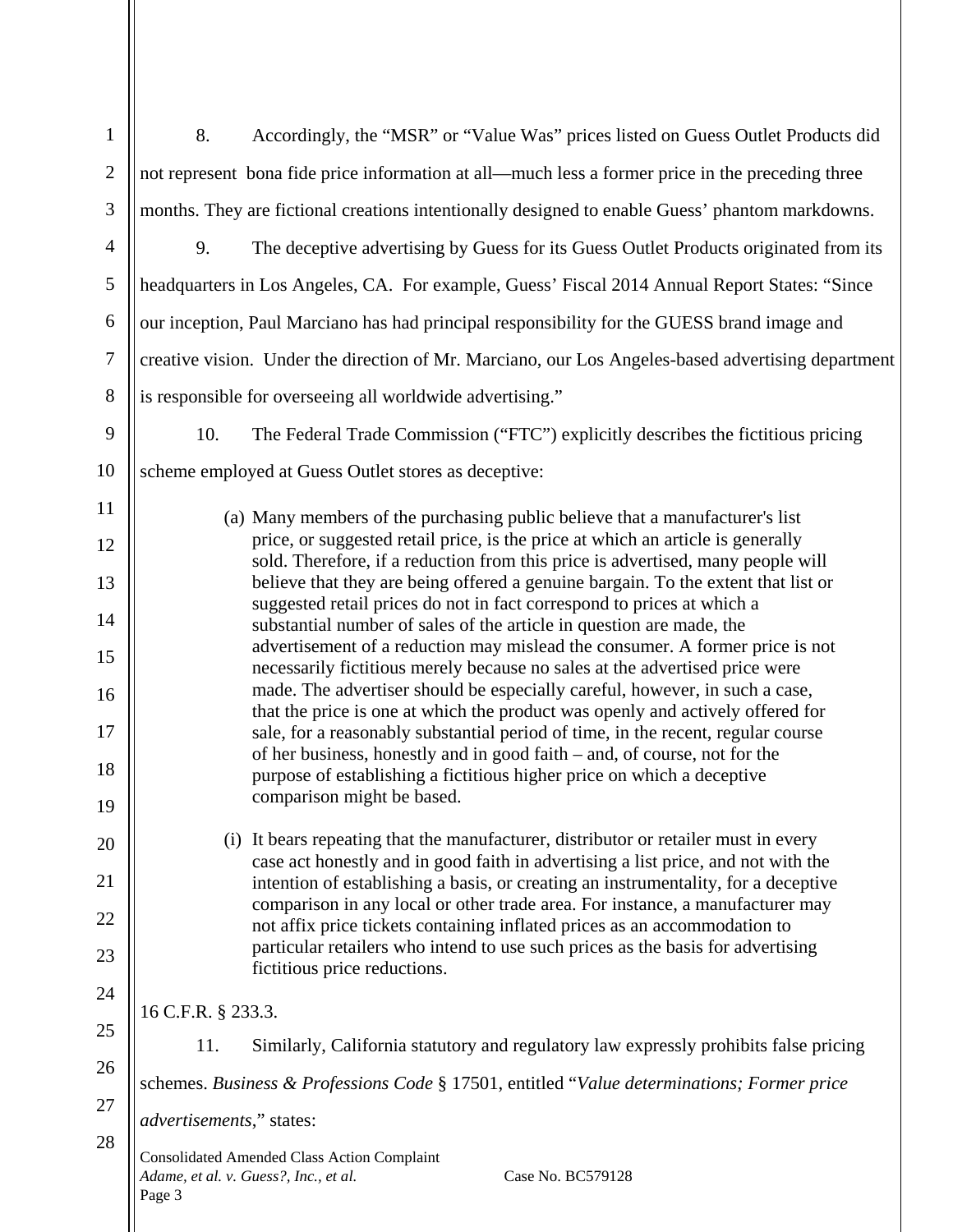| $\mathbf{1}$     | 8.<br>Accordingly, the "MSR" or "Value Was" prices listed on Guess Outlet Products did                                                                                                                                                                                                                                                                                                               |  |  |
|------------------|------------------------------------------------------------------------------------------------------------------------------------------------------------------------------------------------------------------------------------------------------------------------------------------------------------------------------------------------------------------------------------------------------|--|--|
| $\overline{2}$   | not represent bona fide price information at all—much less a former price in the preceding three                                                                                                                                                                                                                                                                                                     |  |  |
| 3                | months. They are fictional creations intentionally designed to enable Guess' phantom markdowns.                                                                                                                                                                                                                                                                                                      |  |  |
| $\overline{4}$   | 9.<br>The deceptive advertising by Guess for its Guess Outlet Products originated from its                                                                                                                                                                                                                                                                                                           |  |  |
| $\mathfrak{S}$   | headquarters in Los Angeles, CA. For example, Guess' Fiscal 2014 Annual Report States: "Since                                                                                                                                                                                                                                                                                                        |  |  |
| 6                | our inception, Paul Marciano has had principal responsibility for the GUESS brand image and                                                                                                                                                                                                                                                                                                          |  |  |
| $\boldsymbol{7}$ | creative vision. Under the direction of Mr. Marciano, our Los Angeles-based advertising department                                                                                                                                                                                                                                                                                                   |  |  |
| 8                | is responsible for overseeing all worldwide advertising."                                                                                                                                                                                                                                                                                                                                            |  |  |
| 9                | 10.<br>The Federal Trade Commission ("FTC") explicitly describes the fictitious pricing                                                                                                                                                                                                                                                                                                              |  |  |
| 10               | scheme employed at Guess Outlet stores as deceptive:                                                                                                                                                                                                                                                                                                                                                 |  |  |
| 11               | (a) Many members of the purchasing public believe that a manufacturer's list                                                                                                                                                                                                                                                                                                                         |  |  |
| 12               | price, or suggested retail price, is the price at which an article is generally<br>sold. Therefore, if a reduction from this price is advertised, many people will                                                                                                                                                                                                                                   |  |  |
| 13               | believe that they are being offered a genuine bargain. To the extent that list or<br>suggested retail prices do not in fact correspond to prices at which a                                                                                                                                                                                                                                          |  |  |
| 14               | substantial number of sales of the article in question are made, the<br>advertisement of a reduction may mislead the consumer. A former price is not<br>necessarily fictitious merely because no sales at the advertised price were<br>made. The advertiser should be especially careful, however, in such a case,<br>that the price is one at which the product was openly and actively offered for |  |  |
| 15               |                                                                                                                                                                                                                                                                                                                                                                                                      |  |  |
| 16               |                                                                                                                                                                                                                                                                                                                                                                                                      |  |  |
| 17               | sale, for a reasonably substantial period of time, in the recent, regular course<br>of her business, honestly and in good faith - and, of course, not for the                                                                                                                                                                                                                                        |  |  |
| 18               | purpose of establishing a fictitious higher price on which a deceptive                                                                                                                                                                                                                                                                                                                               |  |  |
| 19               | comparison might be based.                                                                                                                                                                                                                                                                                                                                                                           |  |  |
| 20               | (i) It bears repeating that the manufacturer, distributor or retailer must in every<br>case act honestly and in good faith in advertising a list price, and not with the                                                                                                                                                                                                                             |  |  |
| 21               | intention of establishing a basis, or creating an instrumentality, for a deceptive<br>comparison in any local or other trade area. For instance, a manufacturer may                                                                                                                                                                                                                                  |  |  |
| 22               | not affix price tickets containing inflated prices as an accommodation to                                                                                                                                                                                                                                                                                                                            |  |  |
| 23               | particular retailers who intend to use such prices as the basis for advertising<br>fictitious price reductions.                                                                                                                                                                                                                                                                                      |  |  |
| 24               | 16 C.F.R. § 233.3.                                                                                                                                                                                                                                                                                                                                                                                   |  |  |
| 25               | Similarly, California statutory and regulatory law expressly prohibits false pricing<br>11.                                                                                                                                                                                                                                                                                                          |  |  |
| 26               | schemes. Business & Professions Code § 17501, entitled "Value determinations; Former price                                                                                                                                                                                                                                                                                                           |  |  |
| 27               | <i>advertisements</i> ," states:                                                                                                                                                                                                                                                                                                                                                                     |  |  |
| 28               | <b>Consolidated Amended Class Action Complaint</b><br>Adame, et al. v. Guess?, Inc., et al.<br>Case No. BC579128<br>Page 3                                                                                                                                                                                                                                                                           |  |  |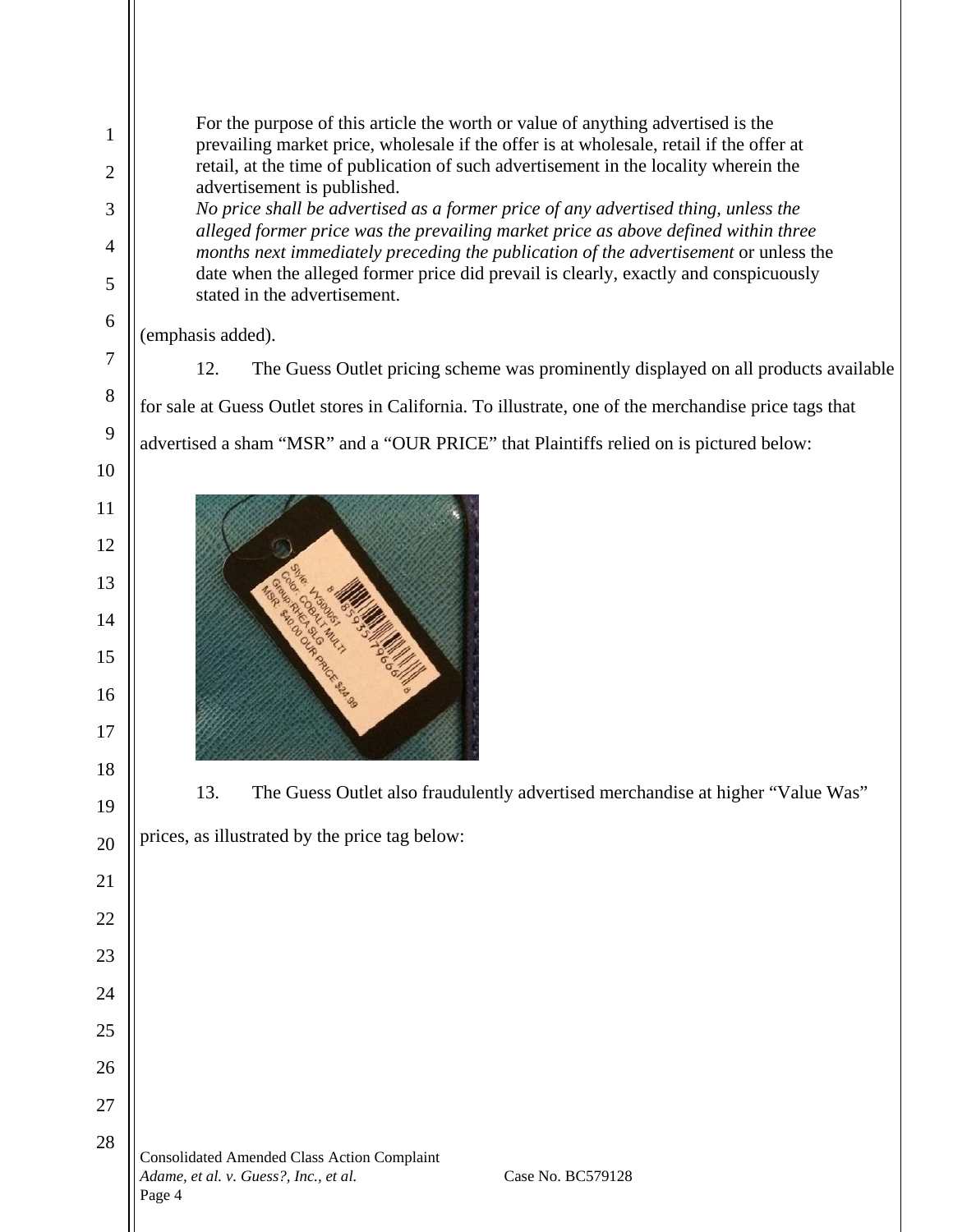For the purpose of this article the worth or value of anything advertised is the prevailing market price, wholesale if the offer is at wholesale, retail if the offer at retail, at the time of publication of such advertisement in the locality wherein the advertisement is published. *No price shall be advertised as a former price of any advertised thing, unless the alleged former price was the prevailing market price as above defined within three months next immediately preceding the publication of the advertisement or unless the* date when the alleged former price did prevail is clearly, exactly and conspicuously stated in the advertisement. (emphasis added). 12. The Guess Outlet pricing scheme was prominently displayed on all products available for sale at Guess Outlet stores in California. To illustrate, one of the merchandise price tags that advertised a sham "MSR" and a "OUR PRICE" that Plaintiffs relied on is pictured below: E LEGISLATIN 13. The Guess Outlet also fraudulently advertised merchandise at higher "Value Was" prices, as illustrated by the price tag below:Consolidated Amended Class Action Complaint *Adame, et al. v. Guess?, Inc., et al.* Case No. BC579128

1

2

3

4

5

6

7

8

9

10

11

12

13

14

15

16

17

18

19

20

21

22

23

24

25

26

27

28

Page 4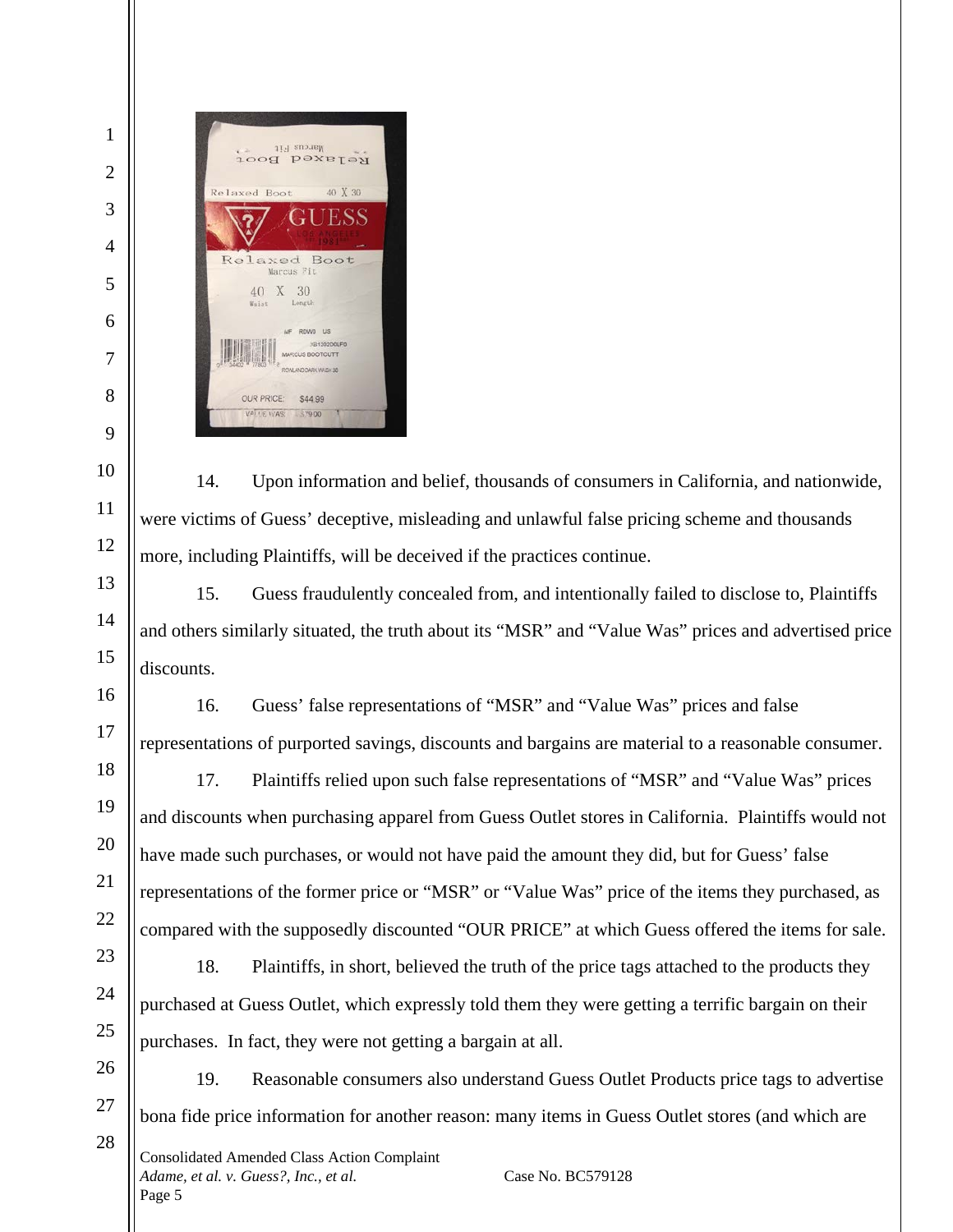

14. Upon information and belief, thousands of consumers in California, and nationwide, were victims of Guess' deceptive, misleading and unlawful false pricing scheme and thousands more, including Plaintiffs, will be deceived if the practices continue.

15. Guess fraudulently concealed from, and intentionally failed to disclose to, Plaintiffs and others similarly situated, the truth about its "MSR" and "Value Was" prices and advertised price discounts.

16. Guess' false representations of "MSR" and "Value Was" prices and false representations of purported savings, discounts and bargains are material to a reasonable consumer.

17. Plaintiffs relied upon such false representations of "MSR" and "Value Was" prices and discounts when purchasing apparel from Guess Outlet stores in California. Plaintiffs would not have made such purchases, or would not have paid the amount they did, but for Guess' false representations of the former price or "MSR" or "Value Was" price of the items they purchased, as compared with the supposedly discounted "OUR PRICE" at which Guess offered the items for sale.

18. Plaintiffs, in short, believed the truth of the price tags attached to the products they purchased at Guess Outlet, which expressly told them they were getting a terrific bargain on their purchases. In fact, they were not getting a bargain at all.

19. Reasonable consumers also understand Guess Outlet Products price tags to advertise bona fide price information for another reason: many items in Guess Outlet stores (and which are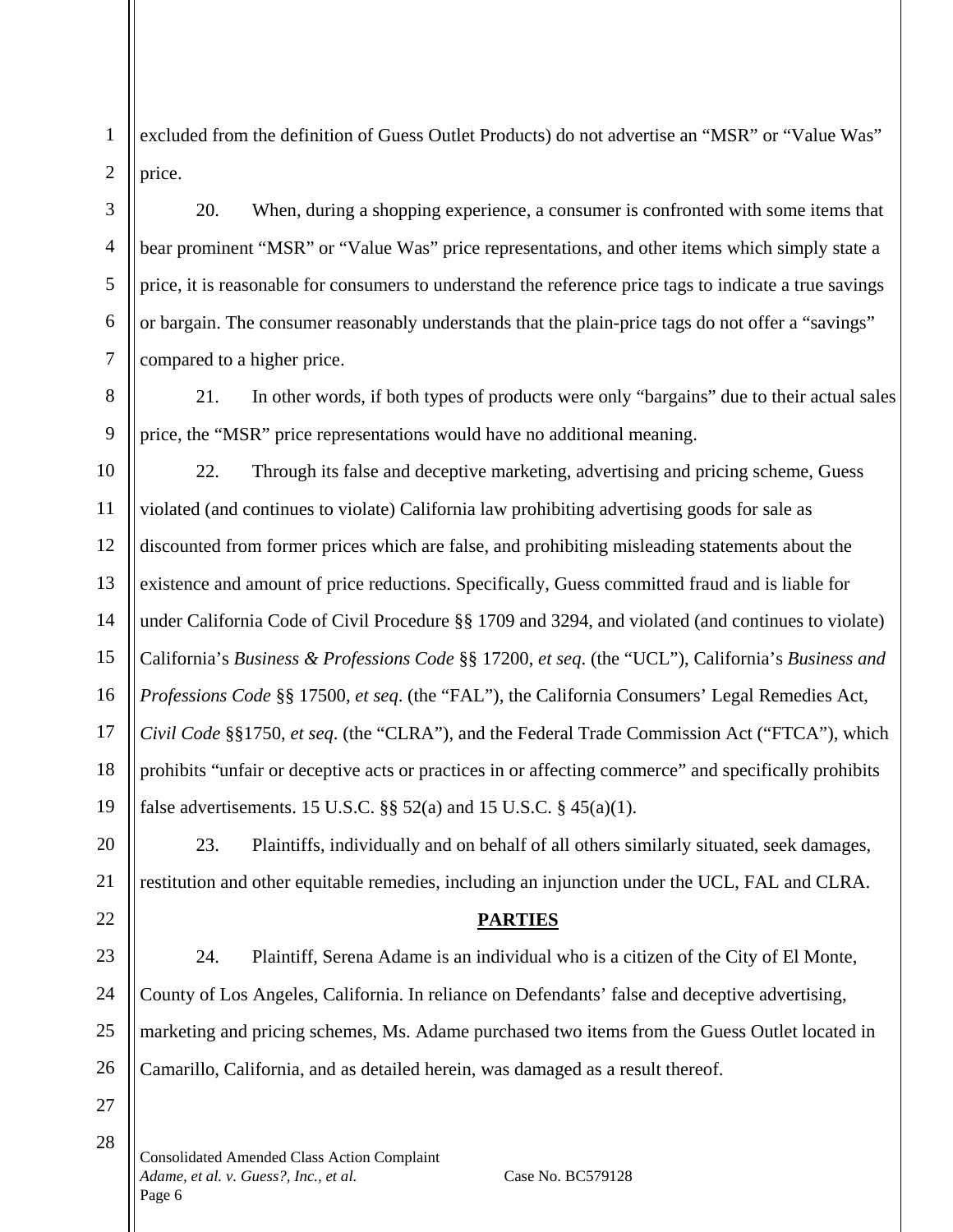excluded from the definition of Guess Outlet Products) do not advertise an "MSR" or "Value Was" price.

20. When, during a shopping experience, a consumer is confronted with some items that bear prominent "MSR" or "Value Was" price representations, and other items which simply state a price, it is reasonable for consumers to understand the reference price tags to indicate a true savings or bargain. The consumer reasonably understands that the plain-price tags do not offer a "savings" compared to a higher price.

21. In other words, if both types of products were only "bargains" due to their actual sales price, the "MSR" price representations would have no additional meaning.

10 11 12 13 14 15 16 17 18 19 22. Through its false and deceptive marketing, advertising and pricing scheme, Guess violated (and continues to violate) California law prohibiting advertising goods for sale as discounted from former prices which are false, and prohibiting misleading statements about the existence and amount of price reductions. Specifically, Guess committed fraud and is liable for under California Code of Civil Procedure §§ 1709 and 3294, and violated (and continues to violate) California's *Business & Professions Code* §§ 17200, *et seq*. (the "UCL"), California's *Business and Professions Code* §§ 17500, *et seq*. (the "FAL"), the California Consumers' Legal Remedies Act, *Civil Code* §§1750, *et seq*. (the "CLRA"), and the Federal Trade Commission Act ("FTCA"), which prohibits "unfair or deceptive acts or practices in or affecting commerce" and specifically prohibits false advertisements. 15 U.S.C.  $\S$ § 52(a) and 15 U.S.C. § 45(a)(1).

23. Plaintiffs, individually and on behalf of all others similarly situated, seek damages, restitution and other equitable remedies, including an injunction under the UCL, FAL and CLRA.

### **PARTIES**

23 24 25 26 24. Plaintiff, Serena Adame is an individual who is a citizen of the City of El Monte, County of Los Angeles, California. In reliance on Defendants' false and deceptive advertising, marketing and pricing schemes, Ms. Adame purchased two items from the Guess Outlet located in Camarillo, California, and as detailed herein, was damaged as a result thereof.

27 28

20

21

22

1

2

3

4

5

6

7

8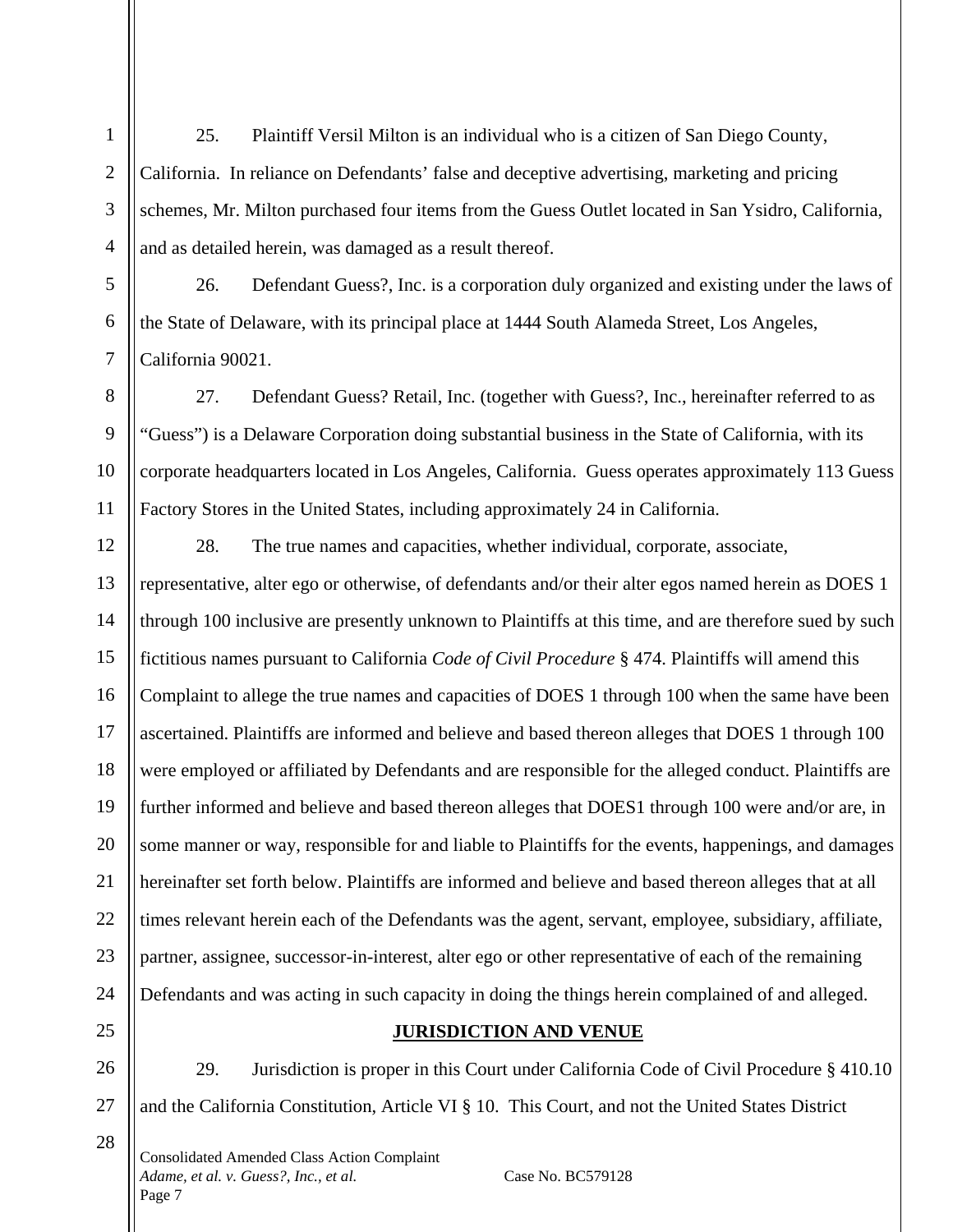25. Plaintiff Versil Milton is an individual who is a citizen of San Diego County, California. In reliance on Defendants' false and deceptive advertising, marketing and pricing schemes, Mr. Milton purchased four items from the Guess Outlet located in San Ysidro, California, and as detailed herein, was damaged as a result thereof.

26. Defendant Guess?, Inc. is a corporation duly organized and existing under the laws of the State of Delaware, with its principal place at 1444 South Alameda Street, Los Angeles, California 90021.

27. Defendant Guess? Retail, Inc. (together with Guess?, Inc., hereinafter referred to as "Guess") is a Delaware Corporation doing substantial business in the State of California, with its corporate headquarters located in Los Angeles, California. Guess operates approximately 113 Guess Factory Stores in the United States, including approximately 24 in California.

28. The true names and capacities, whether individual, corporate, associate, representative, alter ego or otherwise, of defendants and/or their alter egos named herein as DOES 1 through 100 inclusive are presently unknown to Plaintiffs at this time, and are therefore sued by such fictitious names pursuant to California *Code of Civil Procedure* § 474. Plaintiffs will amend this Complaint to allege the true names and capacities of DOES 1 through 100 when the same have been ascertained. Plaintiffs are informed and believe and based thereon alleges that DOES 1 through 100 were employed or affiliated by Defendants and are responsible for the alleged conduct. Plaintiffs are further informed and believe and based thereon alleges that DOES1 through 100 were and/or are, in some manner or way, responsible for and liable to Plaintiffs for the events, happenings, and damages hereinafter set forth below. Plaintiffs are informed and believe and based thereon alleges that at all times relevant herein each of the Defendants was the agent, servant, employee, subsidiary, affiliate, partner, assignee, successor-in-interest, alter ego or other representative of each of the remaining Defendants and was acting in such capacity in doing the things herein complained of and alleged.

# **JURISDICTION AND VENUE**

29. Jurisdiction is proper in this Court under California Code of Civil Procedure § 410.10 and the California Constitution, Article VI § 10. This Court, and not the United States District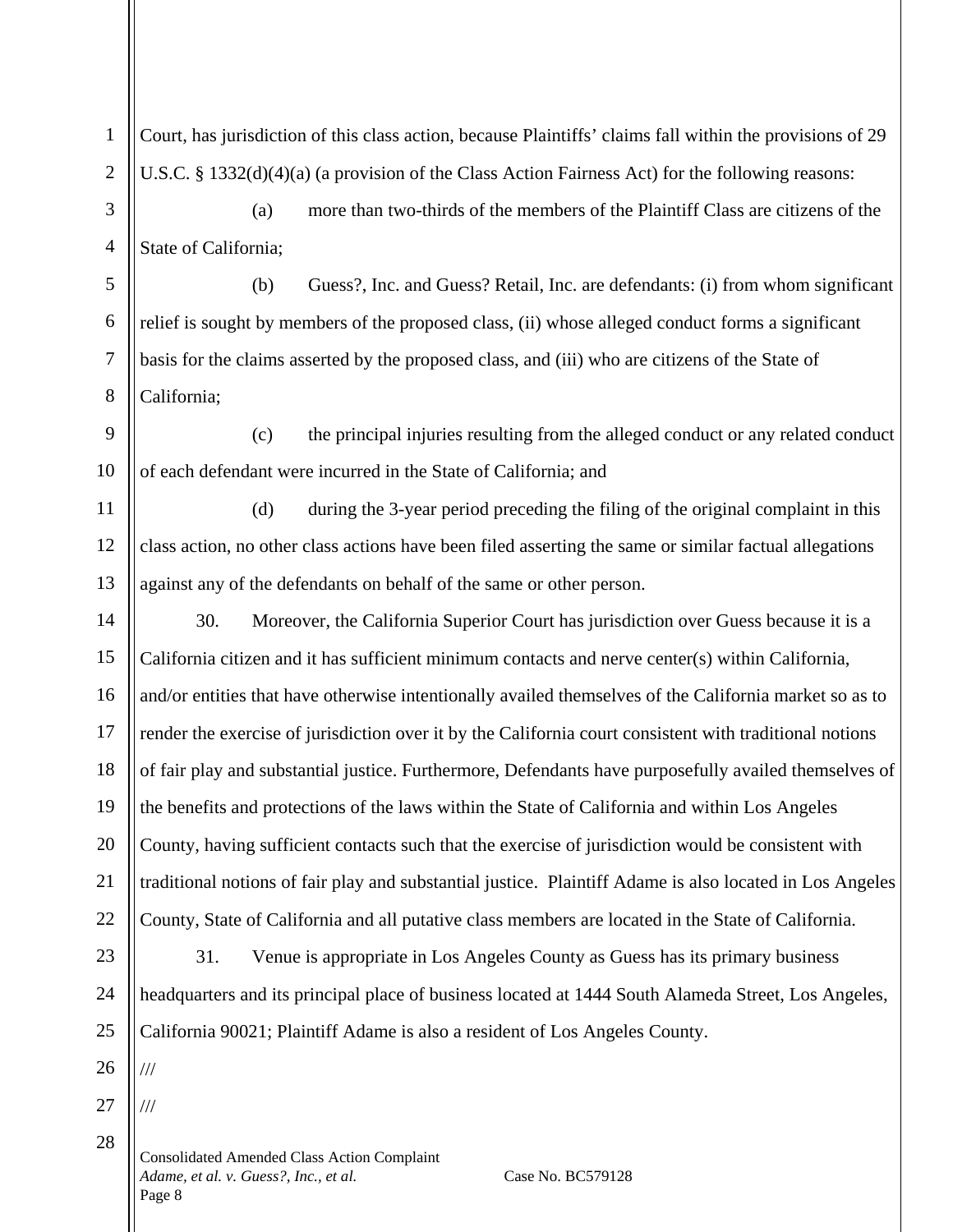Court, has jurisdiction of this class action, because Plaintiffs' claims fall within the provisions of 29 U.S.C. § 1332(d)(4)(a) (a provision of the Class Action Fairness Act) for the following reasons:

(a) more than two-thirds of the members of the Plaintiff Class are citizens of the State of California;

(b) Guess?, Inc. and Guess? Retail, Inc. are defendants: (i) from whom significant relief is sought by members of the proposed class, (ii) whose alleged conduct forms a significant basis for the claims asserted by the proposed class, and (iii) who are citizens of the State of California;

9 10 (c) the principal injuries resulting from the alleged conduct or any related conduct of each defendant were incurred in the State of California; and

(d) during the 3-year period preceding the filing of the original complaint in this class action, no other class actions have been filed asserting the same or similar factual allegations against any of the defendants on behalf of the same or other person.

14 15 16 17 18 19 20 21 22 30. Moreover, the California Superior Court has jurisdiction over Guess because it is a California citizen and it has sufficient minimum contacts and nerve center(s) within California, and/or entities that have otherwise intentionally availed themselves of the California market so as to render the exercise of jurisdiction over it by the California court consistent with traditional notions of fair play and substantial justice. Furthermore, Defendants have purposefully availed themselves of the benefits and protections of the laws within the State of California and within Los Angeles County, having sufficient contacts such that the exercise of jurisdiction would be consistent with traditional notions of fair play and substantial justice. Plaintiff Adame is also located in Los Angeles County, State of California and all putative class members are located in the State of California.

23 24 25 31. Venue is appropriate in Los Angeles County as Guess has its primary business headquarters and its principal place of business located at 1444 South Alameda Street, Los Angeles, California 90021; Plaintiff Adame is also a resident of Los Angeles County.

26

///

///

1

2

3

4

5

6

7

8

11

12

13

27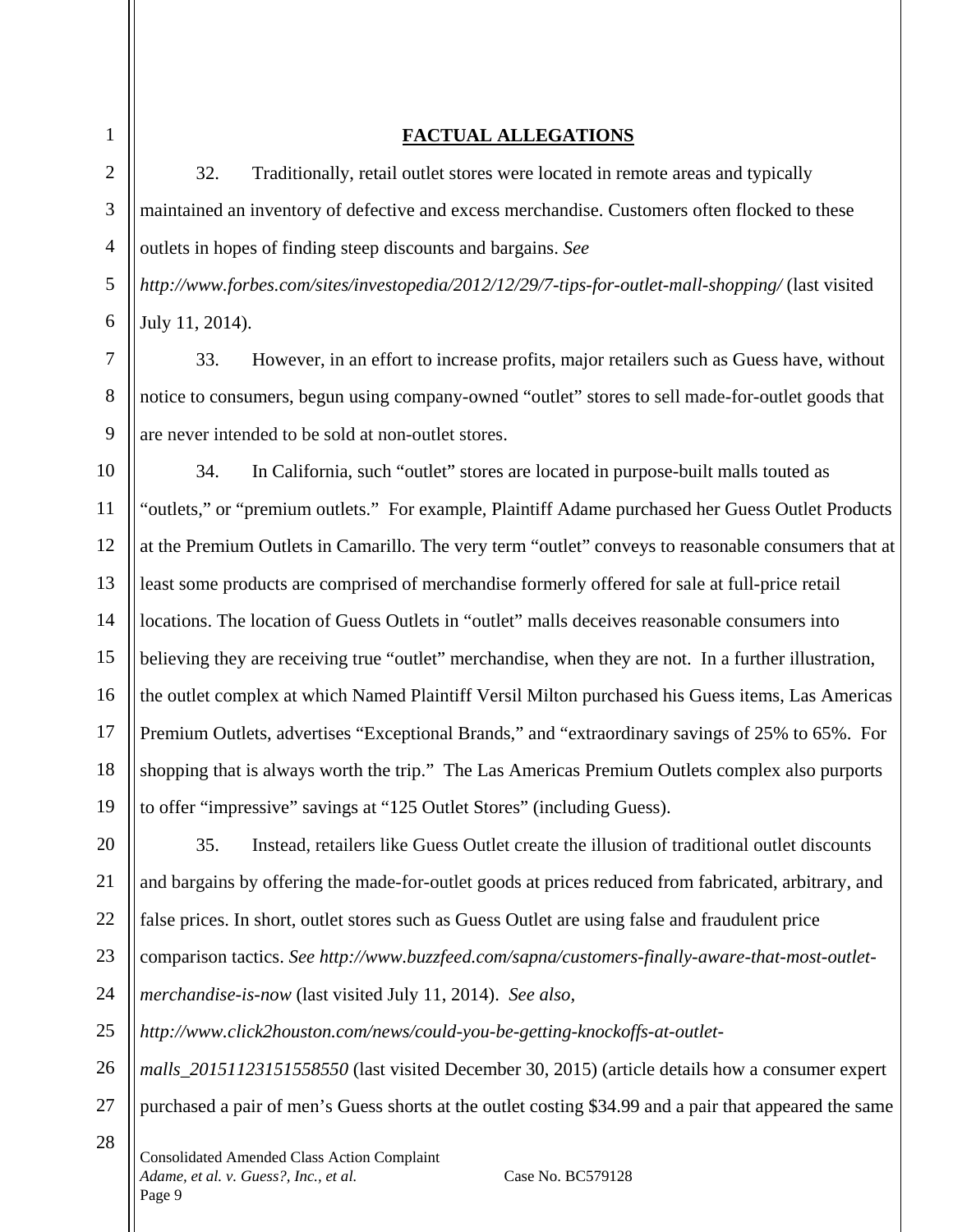2

3

4

5

6

7

8

9

28

# **FACTUAL ALLEGATIONS**

32. Traditionally, retail outlet stores were located in remote areas and typically maintained an inventory of defective and excess merchandise. Customers often flocked to these outlets in hopes of finding steep discounts and bargains. *See* 

*http://www.forbes.com/sites/investopedia/2012/12/29/7-tips-for-outlet-mall-shopping/* (last visited July 11, 2014).

33. However, in an effort to increase profits, major retailers such as Guess have, without notice to consumers, begun using company-owned "outlet" stores to sell made-for-outlet goods that are never intended to be sold at non-outlet stores.

10 11 12 13 14 15 16 17 18 19 34. In California, such "outlet" stores are located in purpose-built malls touted as "outlets," or "premium outlets." For example, Plaintiff Adame purchased her Guess Outlet Products at the Premium Outlets in Camarillo. The very term "outlet" conveys to reasonable consumers that at least some products are comprised of merchandise formerly offered for sale at full-price retail locations. The location of Guess Outlets in "outlet" malls deceives reasonable consumers into believing they are receiving true "outlet" merchandise, when they are not. In a further illustration, the outlet complex at which Named Plaintiff Versil Milton purchased his Guess items, Las Americas Premium Outlets, advertises "Exceptional Brands," and "extraordinary savings of 25% to 65%. For shopping that is always worth the trip." The Las Americas Premium Outlets complex also purports to offer "impressive" savings at "125 Outlet Stores" (including Guess).

20 21 22 23 24 25 35. Instead, retailers like Guess Outlet create the illusion of traditional outlet discounts and bargains by offering the made-for-outlet goods at prices reduced from fabricated, arbitrary, and false prices. In short, outlet stores such as Guess Outlet are using false and fraudulent price comparison tactics. *See http://www.buzzfeed.com/sapna/customers-finally-aware-that-most-outletmerchandise-is-now* (last visited July 11, 2014). *See also, [http://www.click2houston.com/news/could-you-be-getting-knockoffs-at-outlet-](http://www.click2houston.com/news/could-you-be-getting-knockoffs-at-outlet-malls_20151123151558550)*

26 27 *[malls\\_20151123151558550](http://www.click2houston.com/news/could-you-be-getting-knockoffs-at-outlet-malls_20151123151558550)* (last visited December 30, 2015) (article details how a consumer expert purchased a pair of men's Guess shorts at the outlet costing \$34.99 and a pair that appeared the same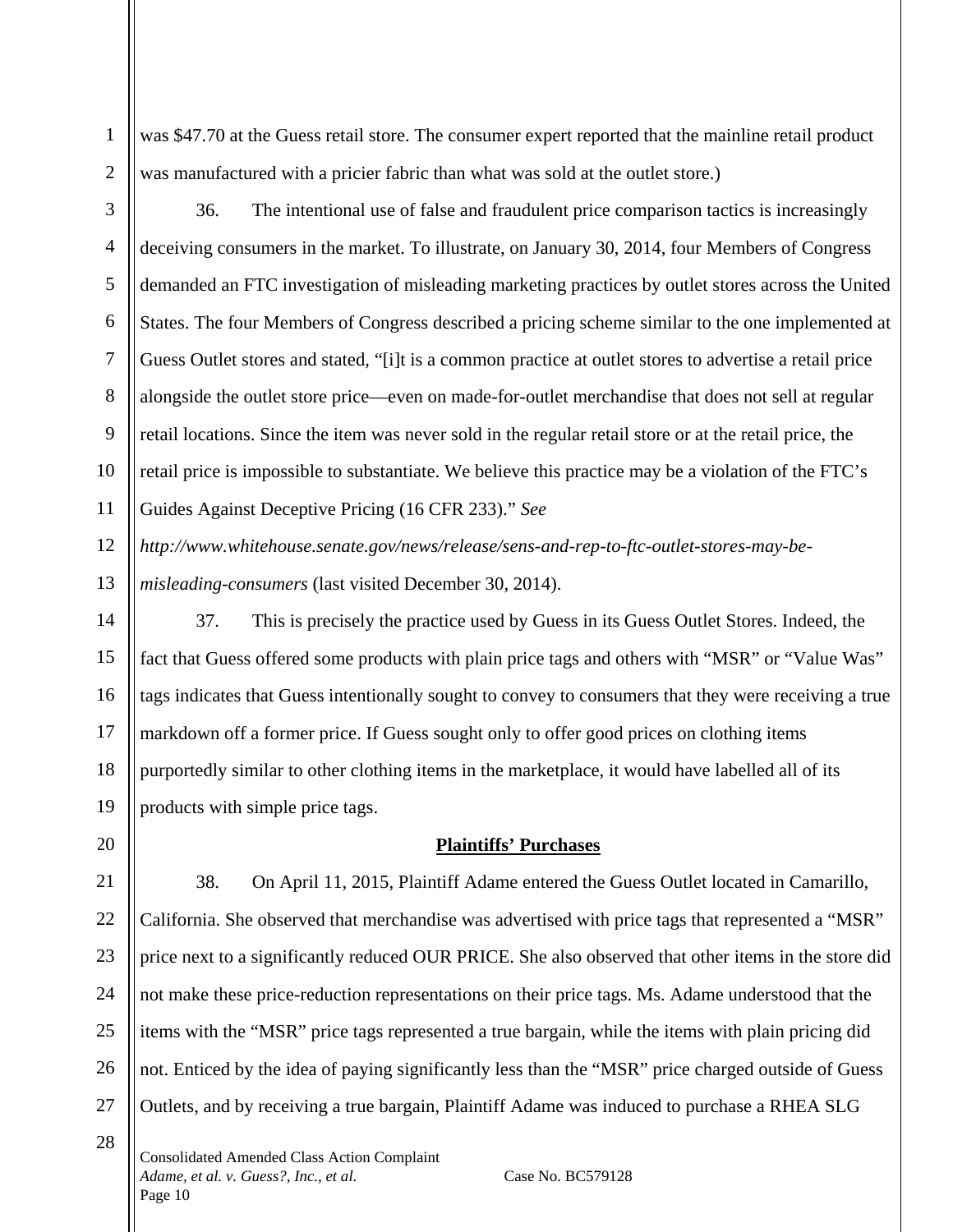was \$47.70 at the Guess retail store. The consumer expert reported that the mainline retail product was manufactured with a pricier fabric than what was sold at the outlet store.)

1

2

3

4

5

6

7

8

9

10

11

20

21

22

23

24

25

27

28

36. The intentional use of false and fraudulent price comparison tactics is increasingly deceiving consumers in the market. To illustrate, on January 30, 2014, four Members of Congress demanded an FTC investigation of misleading marketing practices by outlet stores across the United States. The four Members of Congress described a pricing scheme similar to the one implemented at Guess Outlet stores and stated, "[i]t is a common practice at outlet stores to advertise a retail price alongside the outlet store price—even on made-for-outlet merchandise that does not sell at regular retail locations. Since the item was never sold in the regular retail store or at the retail price, the retail price is impossible to substantiate. We believe this practice may be a violation of the FTC's Guides Against Deceptive Pricing (16 CFR 233)." *See* 

12 13 *http://www.whitehouse.senate.gov/news/release/sens-and-rep-to-ftc-outlet-stores-may-bemisleading-consumers* (last visited December 30, 2014).

14 15 16 17 18 19 37. This is precisely the practice used by Guess in its Guess Outlet Stores. Indeed, the fact that Guess offered some products with plain price tags and others with "MSR" or "Value Was" tags indicates that Guess intentionally sought to convey to consumers that they were receiving a true markdown off a former price. If Guess sought only to offer good prices on clothing items purportedly similar to other clothing items in the marketplace, it would have labelled all of its products with simple price tags.

# **Plaintiffs' Purchases**

26 38. On April 11, 2015, Plaintiff Adame entered the Guess Outlet located in Camarillo, California. She observed that merchandise was advertised with price tags that represented a "MSR" price next to a significantly reduced OUR PRICE. She also observed that other items in the store did not make these price-reduction representations on their price tags. Ms. Adame understood that the items with the "MSR" price tags represented a true bargain, while the items with plain pricing did not. Enticed by the idea of paying significantly less than the "MSR" price charged outside of Guess Outlets, and by receiving a true bargain, Plaintiff Adame was induced to purchase a RHEA SLG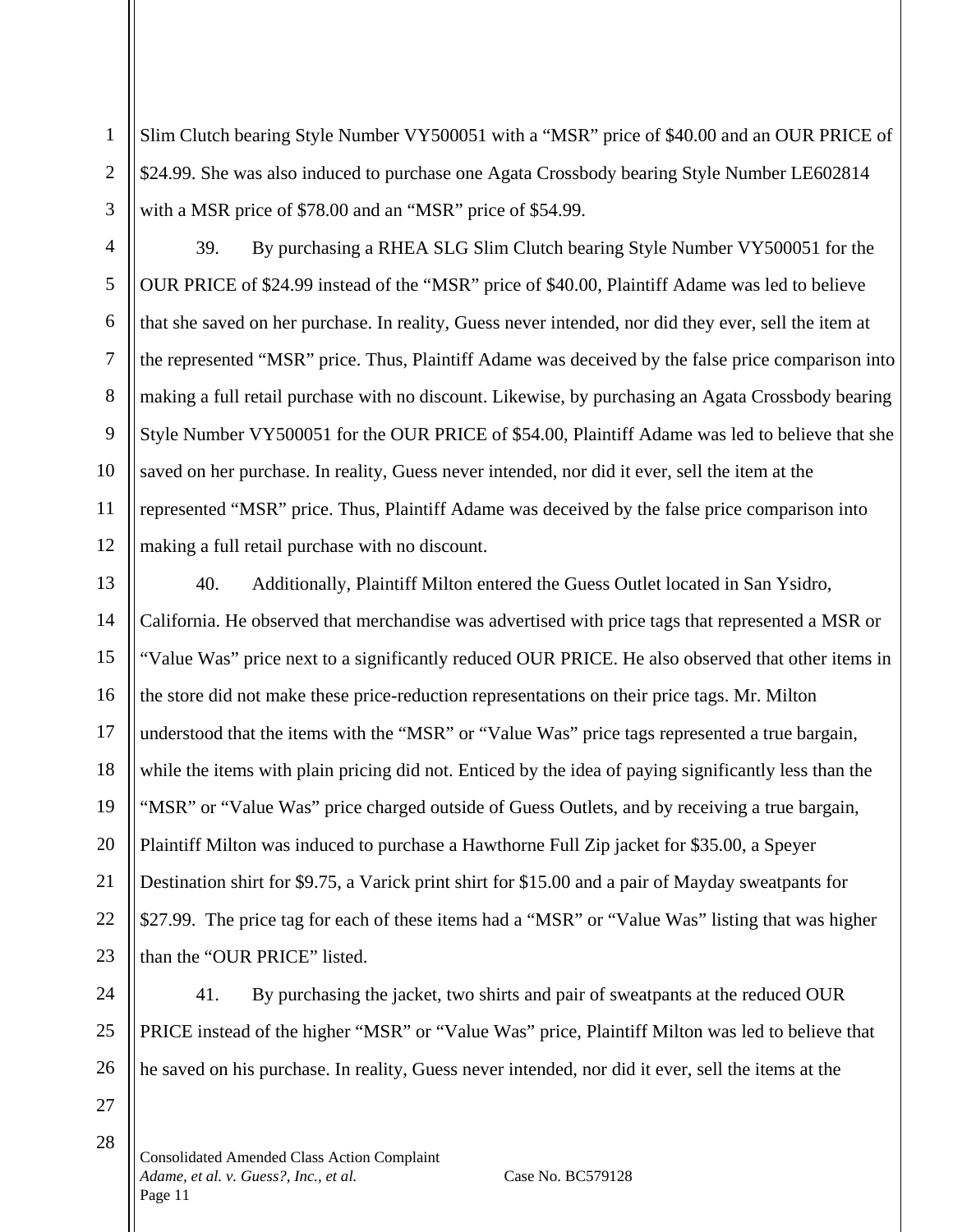Slim Clutch bearing Style Number VY500051 with a "MSR" price of \$40.00 and an OUR PRICE of \$24.99. She was also induced to purchase one Agata Crossbody bearing Style Number LE602814 with a MSR price of \$78.00 and an "MSR" price of \$54.99.

39. By purchasing a RHEA SLG Slim Clutch bearing Style Number VY500051 for the OUR PRICE of \$24.99 instead of the "MSR" price of \$40.00, Plaintiff Adame was led to believe that she saved on her purchase. In reality, Guess never intended, nor did they ever, sell the item at the represented "MSR" price. Thus, Plaintiff Adame was deceived by the false price comparison into making a full retail purchase with no discount. Likewise, by purchasing an Agata Crossbody bearing Style Number VY500051 for the OUR PRICE of \$54.00, Plaintiff Adame was led to believe that she saved on her purchase. In reality, Guess never intended, nor did it ever, sell the item at the represented "MSR" price. Thus, Plaintiff Adame was deceived by the false price comparison into making a full retail purchase with no discount.

13 14 15 16 17 18 19 20 21 22 23 40. Additionally, Plaintiff Milton entered the Guess Outlet located in San Ysidro, California. He observed that merchandise was advertised with price tags that represented a MSR or "Value Was" price next to a significantly reduced OUR PRICE. He also observed that other items in the store did not make these price-reduction representations on their price tags. Mr. Milton understood that the items with the "MSR" or "Value Was" price tags represented a true bargain, while the items with plain pricing did not. Enticed by the idea of paying significantly less than the "MSR" or "Value Was" price charged outside of Guess Outlets, and by receiving a true bargain, Plaintiff Milton was induced to purchase a Hawthorne Full Zip jacket for \$35.00, a Speyer Destination shirt for \$9.75, a Varick print shirt for \$15.00 and a pair of Mayday sweatpants for \$27.99. The price tag for each of these items had a "MSR" or "Value Was" listing that was higher than the "OUR PRICE" listed.

24 25 26

1

2

3

4

5

6

7

8

9

10

11

12

41. By purchasing the jacket, two shirts and pair of sweatpants at the reduced OUR PRICE instead of the higher "MSR" or "Value Was" price, Plaintiff Milton was led to believe that he saved on his purchase. In reality, Guess never intended, nor did it ever, sell the items at the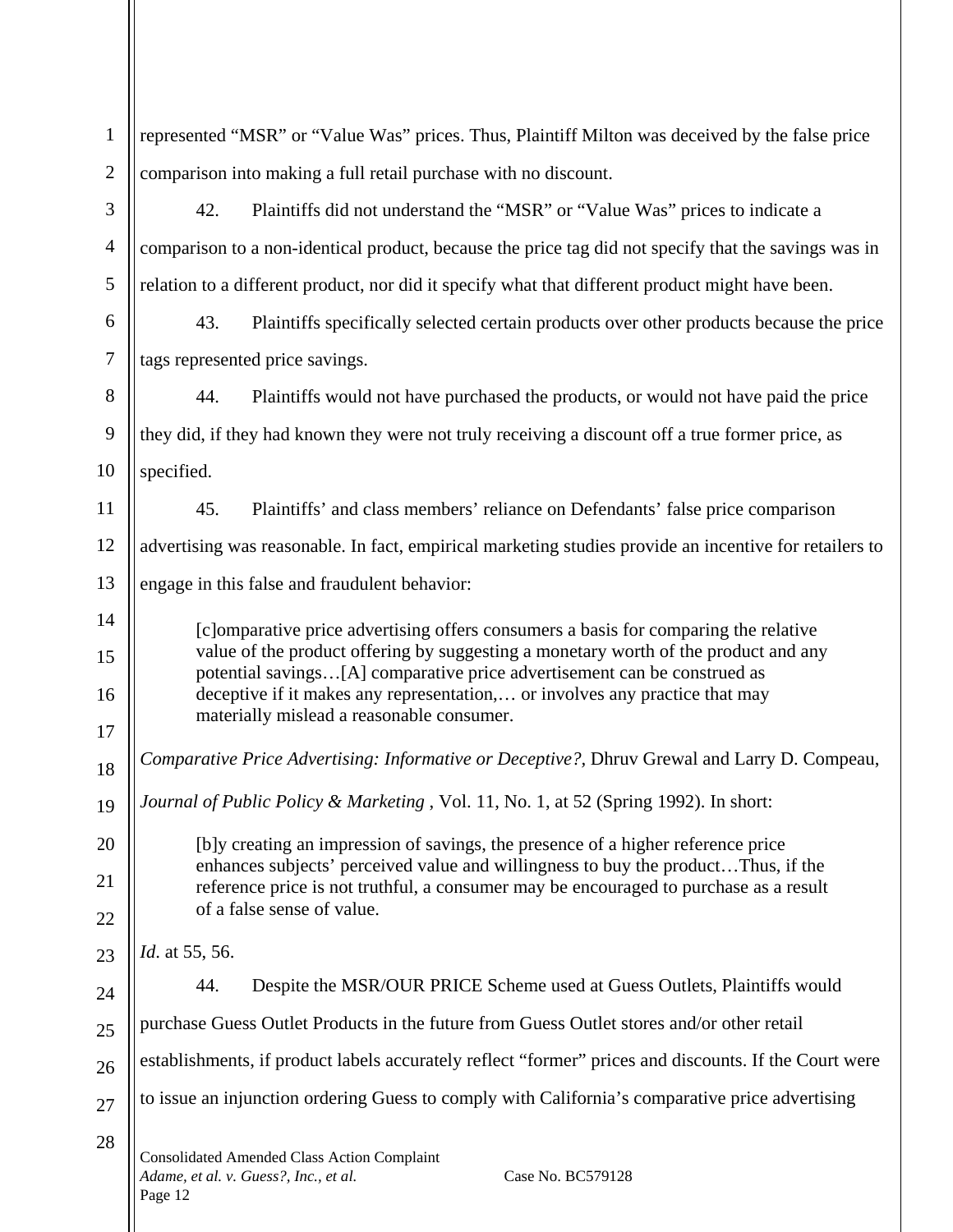| $\mathbf{1}$   | represented "MSR" or "Value Was" prices. Thus, Plaintiff Milton was deceived by the false price                                                                                                                                                                                                                                                                                     |  |  |
|----------------|-------------------------------------------------------------------------------------------------------------------------------------------------------------------------------------------------------------------------------------------------------------------------------------------------------------------------------------------------------------------------------------|--|--|
| $\overline{2}$ | comparison into making a full retail purchase with no discount.                                                                                                                                                                                                                                                                                                                     |  |  |
| 3              | 42.<br>Plaintiffs did not understand the "MSR" or "Value Was" prices to indicate a                                                                                                                                                                                                                                                                                                  |  |  |
| $\overline{4}$ | comparison to a non-identical product, because the price tag did not specify that the savings was in                                                                                                                                                                                                                                                                                |  |  |
| 5              | relation to a different product, nor did it specify what that different product might have been.                                                                                                                                                                                                                                                                                    |  |  |
| 6              | 43.<br>Plaintiffs specifically selected certain products over other products because the price                                                                                                                                                                                                                                                                                      |  |  |
| $\overline{7}$ | tags represented price savings.                                                                                                                                                                                                                                                                                                                                                     |  |  |
| 8              | 44.<br>Plaintiffs would not have purchased the products, or would not have paid the price                                                                                                                                                                                                                                                                                           |  |  |
| 9              | they did, if they had known they were not truly receiving a discount off a true former price, as                                                                                                                                                                                                                                                                                    |  |  |
| 10             | specified.                                                                                                                                                                                                                                                                                                                                                                          |  |  |
| 11             | 45.<br>Plaintiffs' and class members' reliance on Defendants' false price comparison                                                                                                                                                                                                                                                                                                |  |  |
| 12             | advertising was reasonable. In fact, empirical marketing studies provide an incentive for retailers to                                                                                                                                                                                                                                                                              |  |  |
| 13             | engage in this false and fraudulent behavior:                                                                                                                                                                                                                                                                                                                                       |  |  |
| 14             | [c] omparative price advertising offers consumers a basis for comparing the relative<br>value of the product offering by suggesting a monetary worth of the product and any<br>potential savings[A] comparative price advertisement can be construed as<br>deceptive if it makes any representation, or involves any practice that may<br>materially mislead a reasonable consumer. |  |  |
| 15             |                                                                                                                                                                                                                                                                                                                                                                                     |  |  |
| 16             |                                                                                                                                                                                                                                                                                                                                                                                     |  |  |
| 17             |                                                                                                                                                                                                                                                                                                                                                                                     |  |  |
| 18             | Comparative Price Advertising: Informative or Deceptive?, Dhruv Grewal and Larry D. Compeau,                                                                                                                                                                                                                                                                                        |  |  |
| 19             | Journal of Public Policy & Marketing, Vol. 11, No. 1, at 52 (Spring 1992). In short:                                                                                                                                                                                                                                                                                                |  |  |
| 20             | [b]y creating an impression of savings, the presence of a higher reference price                                                                                                                                                                                                                                                                                                    |  |  |
| 21             | enhances subjects' perceived value and willingness to buy the productThus, if the<br>reference price is not truthful, a consumer may be encouraged to purchase as a result                                                                                                                                                                                                          |  |  |
| 22             | of a false sense of value.                                                                                                                                                                                                                                                                                                                                                          |  |  |
| 23             | <i>Id.</i> at 55, 56.                                                                                                                                                                                                                                                                                                                                                               |  |  |
| 24             | Despite the MSR/OUR PRICE Scheme used at Guess Outlets, Plaintiffs would<br>44.                                                                                                                                                                                                                                                                                                     |  |  |
| 25             | purchase Guess Outlet Products in the future from Guess Outlet stores and/or other retail                                                                                                                                                                                                                                                                                           |  |  |
| 26             | establishments, if product labels accurately reflect "former" prices and discounts. If the Court were                                                                                                                                                                                                                                                                               |  |  |
| 27             | to issue an injunction ordering Guess to comply with California's comparative price advertising                                                                                                                                                                                                                                                                                     |  |  |
| 28             | <b>Consolidated Amended Class Action Complaint</b><br>Adame, et al. v. Guess?, Inc., et al.<br>Case No. BC579128<br>Page 12                                                                                                                                                                                                                                                         |  |  |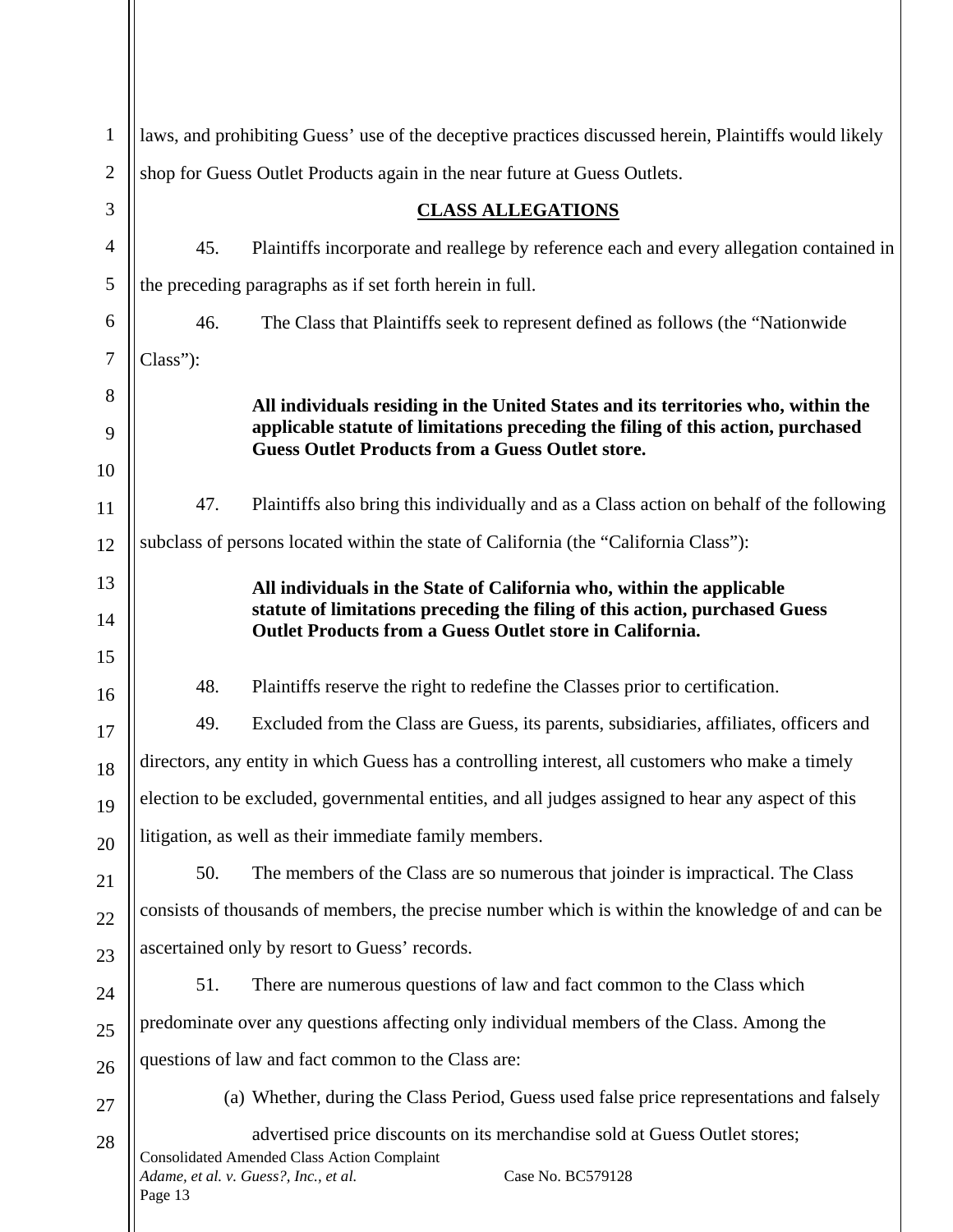| $\mathbf{1}$   | laws, and prohibiting Guess' use of the deceptive practices discussed herein, Plaintiffs would likely                                                                                                     |  |  |
|----------------|-----------------------------------------------------------------------------------------------------------------------------------------------------------------------------------------------------------|--|--|
| $\overline{2}$ | shop for Guess Outlet Products again in the near future at Guess Outlets.                                                                                                                                 |  |  |
| 3              | <b>CLASS ALLEGATIONS</b>                                                                                                                                                                                  |  |  |
| $\overline{4}$ | 45.<br>Plaintiffs incorporate and reallege by reference each and every allegation contained in                                                                                                            |  |  |
| 5              | the preceding paragraphs as if set forth herein in full.                                                                                                                                                  |  |  |
| 6              | 46.<br>The Class that Plaintiffs seek to represent defined as follows (the "Nationwide")                                                                                                                  |  |  |
| $\tau$         | Class"):                                                                                                                                                                                                  |  |  |
| 8              | All individuals residing in the United States and its territories who, within the                                                                                                                         |  |  |
| 9              | applicable statute of limitations preceding the filing of this action, purchased<br><b>Guess Outlet Products from a Guess Outlet store.</b>                                                               |  |  |
| 10             |                                                                                                                                                                                                           |  |  |
| 11             | Plaintiffs also bring this individually and as a Class action on behalf of the following<br>47.                                                                                                           |  |  |
| 12             | subclass of persons located within the state of California (the "California Class"):                                                                                                                      |  |  |
| 13             | All individuals in the State of California who, within the applicable                                                                                                                                     |  |  |
| 14             | statute of limitations preceding the filing of this action, purchased Guess<br><b>Outlet Products from a Guess Outlet store in California.</b>                                                            |  |  |
| 15             |                                                                                                                                                                                                           |  |  |
| 16             | 48.<br>Plaintiffs reserve the right to redefine the Classes prior to certification.                                                                                                                       |  |  |
| 17             | 49.<br>Excluded from the Class are Guess, its parents, subsidiaries, affiliates, officers and                                                                                                             |  |  |
| 18             | directors, any entity in which Guess has a controlling interest, all customers who make a timely                                                                                                          |  |  |
| 19             | election to be excluded, governmental entities, and all judges assigned to hear any aspect of this                                                                                                        |  |  |
| 20             | litigation, as well as their immediate family members.                                                                                                                                                    |  |  |
| 21             | 50.<br>The members of the Class are so numerous that joinder is impractical. The Class                                                                                                                    |  |  |
| 22             | consists of thousands of members, the precise number which is within the knowledge of and can be                                                                                                          |  |  |
| 23             | ascertained only by resort to Guess' records.                                                                                                                                                             |  |  |
| 24             | There are numerous questions of law and fact common to the Class which<br>51.                                                                                                                             |  |  |
| 25             | predominate over any questions affecting only individual members of the Class. Among the                                                                                                                  |  |  |
| 26             | questions of law and fact common to the Class are:                                                                                                                                                        |  |  |
| 27             | (a) Whether, during the Class Period, Guess used false price representations and falsely                                                                                                                  |  |  |
| 28             | advertised price discounts on its merchandise sold at Guess Outlet stores;<br><b>Consolidated Amended Class Action Complaint</b><br>Case No. BC579128<br>Adame, et al. v. Guess?, Inc., et al.<br>Page 13 |  |  |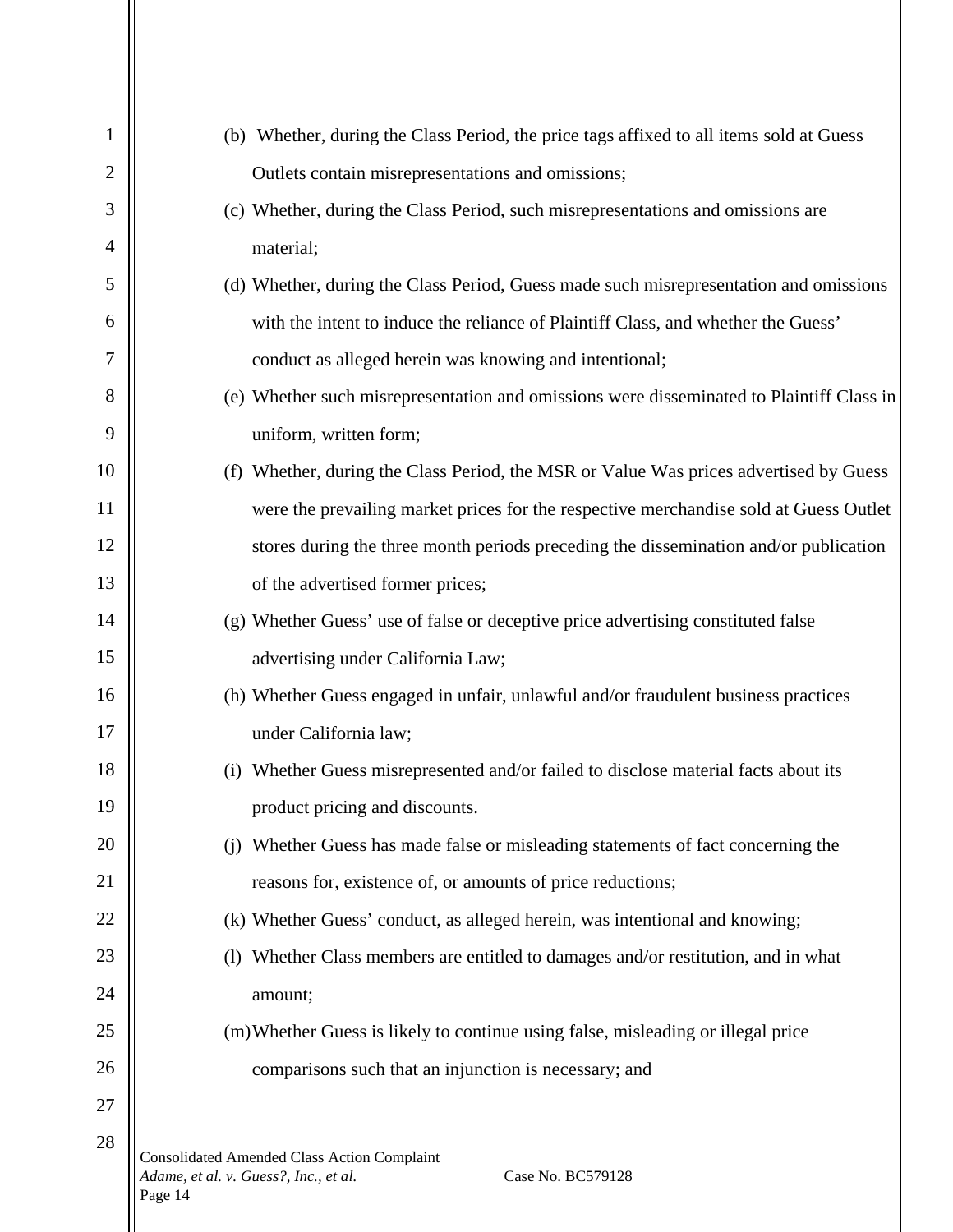| 1              | (b) Whether, during the Class Period, the price tags affixed to all items sold at Guess                                     |
|----------------|-----------------------------------------------------------------------------------------------------------------------------|
| $\overline{2}$ | Outlets contain misrepresentations and omissions;                                                                           |
| 3              | (c) Whether, during the Class Period, such misrepresentations and omissions are                                             |
| 4              | material;                                                                                                                   |
| 5              | (d) Whether, during the Class Period, Guess made such misrepresentation and omissions                                       |
| 6              | with the intent to induce the reliance of Plaintiff Class, and whether the Guess'                                           |
| 7              | conduct as alleged herein was knowing and intentional;                                                                      |
| 8              | (e) Whether such misrepresentation and omissions were disseminated to Plaintiff Class in                                    |
| 9              | uniform, written form;                                                                                                      |
| 10             | (f) Whether, during the Class Period, the MSR or Value Was prices advertised by Guess                                       |
| 11             | were the prevailing market prices for the respective merchandise sold at Guess Outlet                                       |
| 12             | stores during the three month periods preceding the dissemination and/or publication                                        |
| 13             | of the advertised former prices;                                                                                            |
| 14             | (g) Whether Guess' use of false or deceptive price advertising constituted false                                            |
| 15             | advertising under California Law;                                                                                           |
| 16             | (h) Whether Guess engaged in unfair, unlawful and/or fraudulent business practices                                          |
| 17             | under California law;                                                                                                       |
| 18             | Whether Guess misrepresented and/or failed to disclose material facts about its                                             |
| 19             | product pricing and discounts.                                                                                              |
| 20             | Whether Guess has made false or misleading statements of fact concerning the<br>(i)                                         |
| 21             | reasons for, existence of, or amounts of price reductions;                                                                  |
| 22             | (k) Whether Guess' conduct, as alleged herein, was intentional and knowing;                                                 |
| 23             | Whether Class members are entitled to damages and/or restitution, and in what<br>(1)                                        |
| 24             | amount;                                                                                                                     |
| 25             | (m) Whether Guess is likely to continue using false, misleading or illegal price                                            |
| 26             | comparisons such that an injunction is necessary; and                                                                       |
| 27             |                                                                                                                             |
| 28             | <b>Consolidated Amended Class Action Complaint</b><br>Adame, et al. v. Guess?, Inc., et al.<br>Case No. BC579128<br>Page 14 |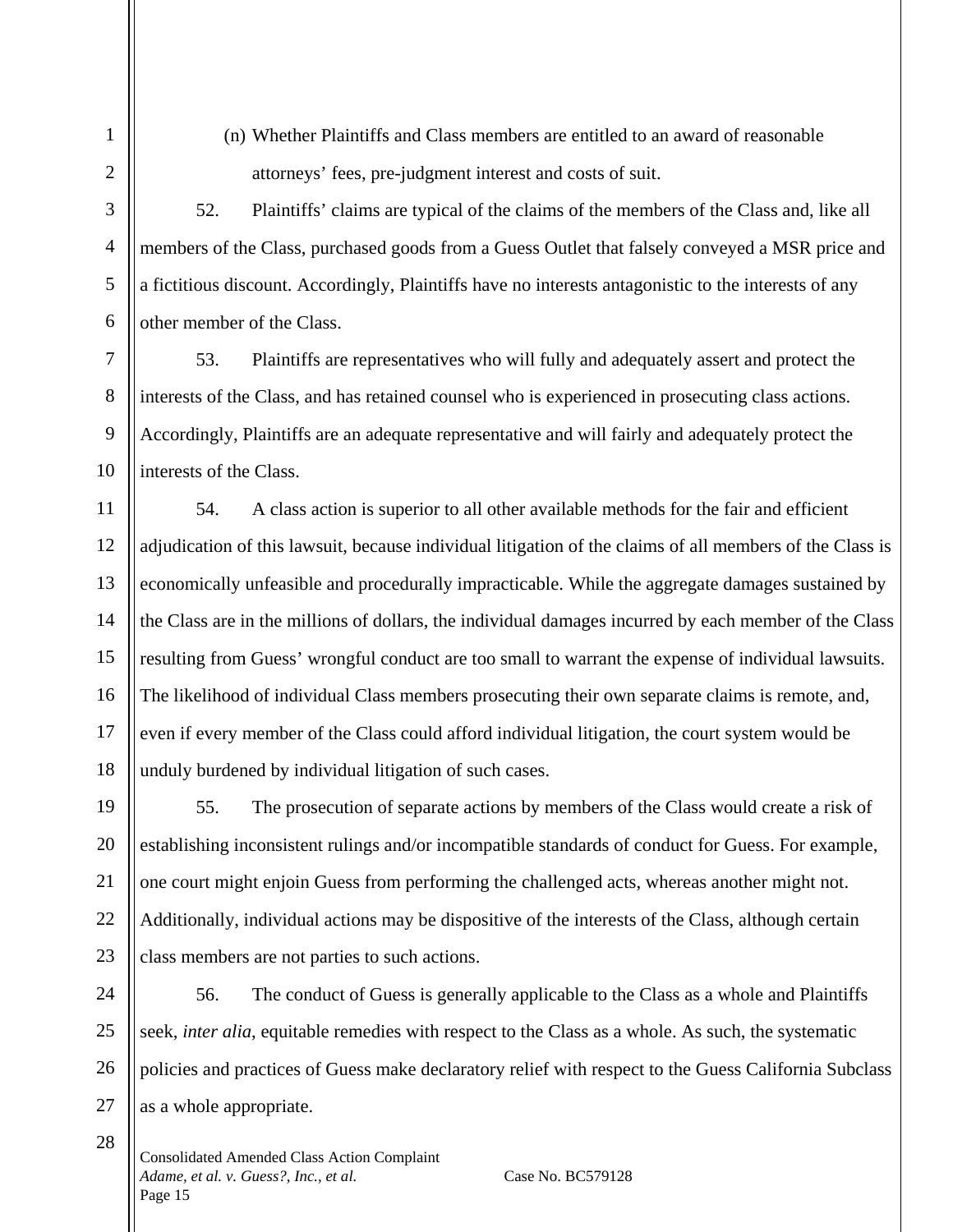3

4

5

6

7

8

9

10

28

(n) Whether Plaintiffs and Class members are entitled to an award of reasonable attorneys' fees, pre-judgment interest and costs of suit.

52. Plaintiffs' claims are typical of the claims of the members of the Class and, like all members of the Class, purchased goods from a Guess Outlet that falsely conveyed a MSR price and a fictitious discount. Accordingly, Plaintiffs have no interests antagonistic to the interests of any other member of the Class.

53. Plaintiffs are representatives who will fully and adequately assert and protect the interests of the Class, and has retained counsel who is experienced in prosecuting class actions. Accordingly, Plaintiffs are an adequate representative and will fairly and adequately protect the interests of the Class.

11 12 13 14 15 16 17 18 54. A class action is superior to all other available methods for the fair and efficient adjudication of this lawsuit, because individual litigation of the claims of all members of the Class is economically unfeasible and procedurally impracticable. While the aggregate damages sustained by the Class are in the millions of dollars, the individual damages incurred by each member of the Class resulting from Guess' wrongful conduct are too small to warrant the expense of individual lawsuits. The likelihood of individual Class members prosecuting their own separate claims is remote, and, even if every member of the Class could afford individual litigation, the court system would be unduly burdened by individual litigation of such cases.

19 20 21 22 23 55. The prosecution of separate actions by members of the Class would create a risk of establishing inconsistent rulings and/or incompatible standards of conduct for Guess. For example, one court might enjoin Guess from performing the challenged acts, whereas another might not. Additionally, individual actions may be dispositive of the interests of the Class, although certain class members are not parties to such actions.

24 25 26 27 56. The conduct of Guess is generally applicable to the Class as a whole and Plaintiffs seek, *inter alia*, equitable remedies with respect to the Class as a whole. As such, the systematic policies and practices of Guess make declaratory relief with respect to the Guess California Subclass as a whole appropriate.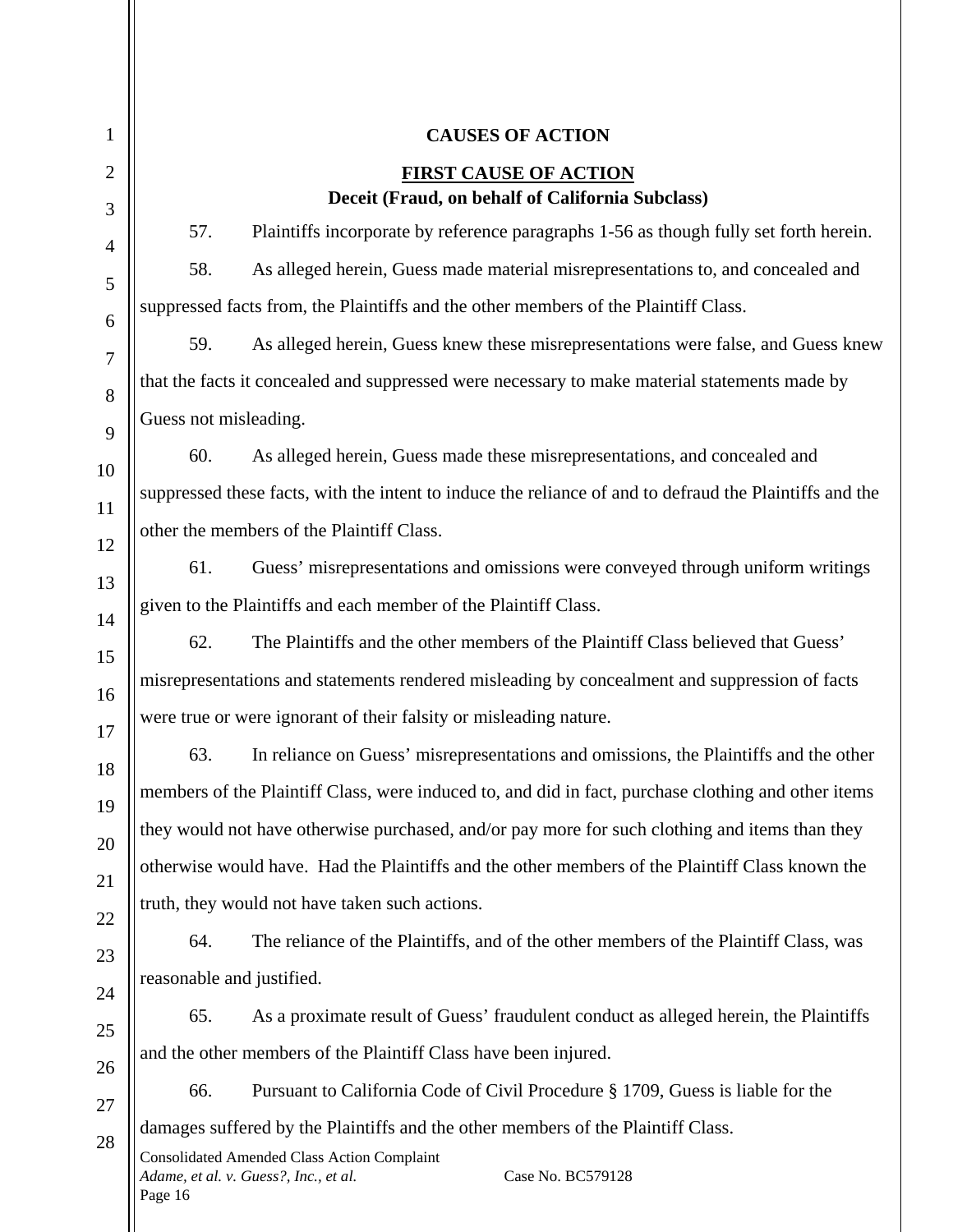| $\mathbf{1}$   | <b>CAUSES OF ACTION</b>                                                                                                     |  |  |
|----------------|-----------------------------------------------------------------------------------------------------------------------------|--|--|
| $\overline{2}$ | <b>FIRST CAUSE OF ACTION</b>                                                                                                |  |  |
| 3              | Deceit (Fraud, on behalf of California Subclass)                                                                            |  |  |
| $\overline{4}$ | 57.<br>Plaintiffs incorporate by reference paragraphs 1-56 as though fully set forth herein.                                |  |  |
| 5              | 58.<br>As alleged herein, Guess made material misrepresentations to, and concealed and                                      |  |  |
| 6              | suppressed facts from, the Plaintiffs and the other members of the Plaintiff Class.                                         |  |  |
| $\overline{7}$ | As alleged herein, Guess knew these misrepresentations were false, and Guess knew<br>59.                                    |  |  |
| 8              | that the facts it concealed and suppressed were necessary to make material statements made by                               |  |  |
| 9              | Guess not misleading.                                                                                                       |  |  |
| 10             | 60.<br>As alleged herein, Guess made these misrepresentations, and concealed and                                            |  |  |
| 11             | suppressed these facts, with the intent to induce the reliance of and to defraud the Plaintiffs and the                     |  |  |
| 12             | other the members of the Plaintiff Class.                                                                                   |  |  |
| 13             | Guess' misrepresentations and omissions were conveyed through uniform writings<br>61.                                       |  |  |
| 14             | given to the Plaintiffs and each member of the Plaintiff Class.                                                             |  |  |
| 15             | The Plaintiffs and the other members of the Plaintiff Class believed that Guess'<br>62.                                     |  |  |
| 16             | misrepresentations and statements rendered misleading by concealment and suppression of facts                               |  |  |
| 17             | were true or were ignorant of their falsity or misleading nature.                                                           |  |  |
| 18             | 63.<br>In reliance on Guess' misrepresentations and omissions, the Plaintiffs and the other                                 |  |  |
| 19             | members of the Plaintiff Class, were induced to, and did in fact, purchase clothing and other items                         |  |  |
| 20             | they would not have otherwise purchased, and/or pay more for such clothing and items than they                              |  |  |
| 21             | otherwise would have. Had the Plaintiffs and the other members of the Plaintiff Class known the                             |  |  |
| 22             | truth, they would not have taken such actions.                                                                              |  |  |
| 23             | 64.<br>The reliance of the Plaintiffs, and of the other members of the Plaintiff Class, was                                 |  |  |
| 24             | reasonable and justified.                                                                                                   |  |  |
| 25             | 65.<br>As a proximate result of Guess' fraudulent conduct as alleged herein, the Plaintiffs                                 |  |  |
| 26             | and the other members of the Plaintiff Class have been injured.                                                             |  |  |
| 27             | 66.<br>Pursuant to California Code of Civil Procedure § 1709, Guess is liable for the                                       |  |  |
| 28             | damages suffered by the Plaintiffs and the other members of the Plaintiff Class.                                            |  |  |
|                | <b>Consolidated Amended Class Action Complaint</b><br>Adame, et al. v. Guess?, Inc., et al.<br>Case No. BC579128<br>Page 16 |  |  |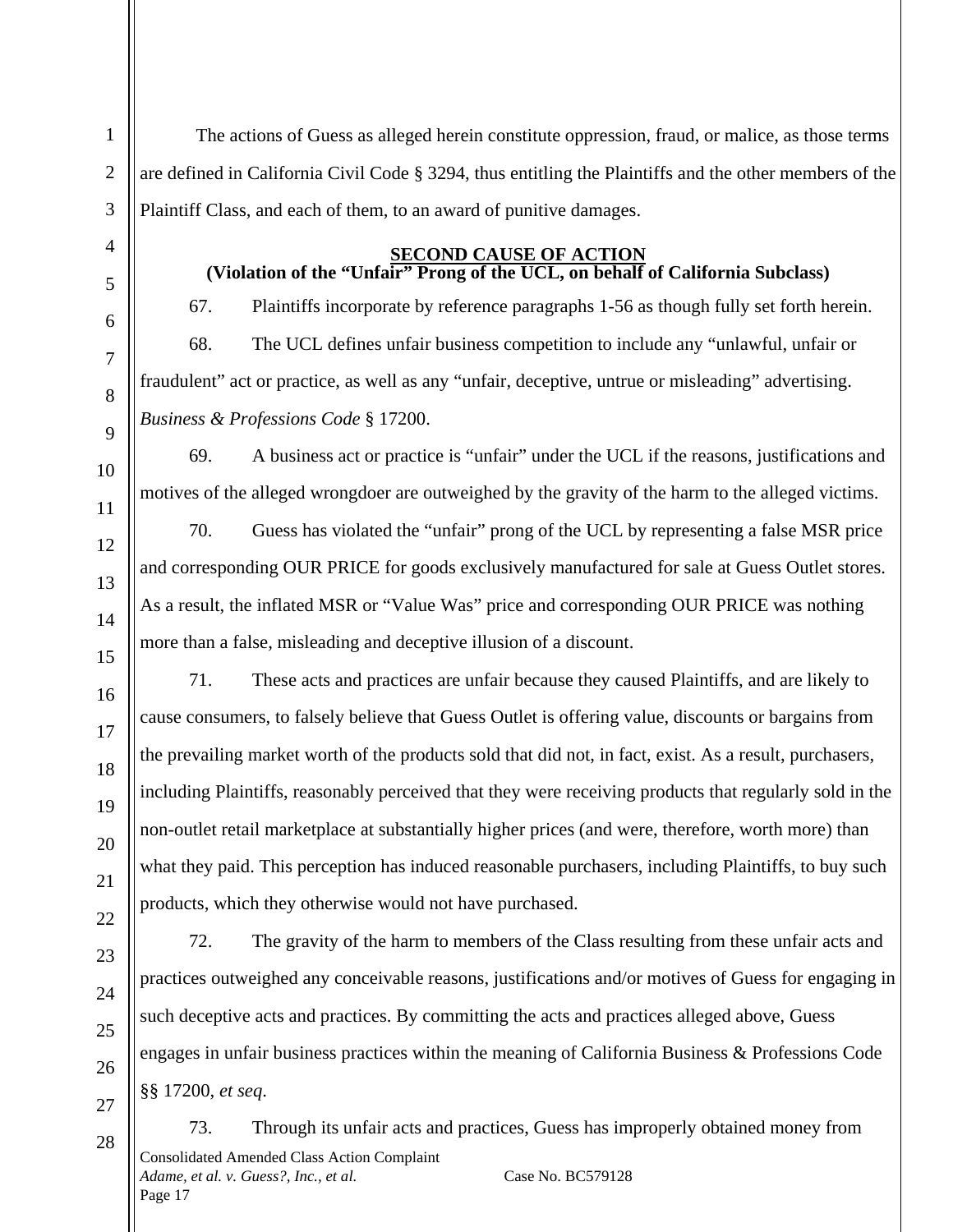The actions of Guess as alleged herein constitute oppression, fraud, or malice, as those terms are defined in California Civil Code § 3294, thus entitling the Plaintiffs and the other members of the Plaintiff Class, and each of them, to an award of punitive damages.

# **SECOND CAUSE OF ACTION**

### **(Violation of the "Unfair" Prong of the UCL, on behalf of California Subclass)**

67. Plaintiffs incorporate by reference paragraphs 1-56 as though fully set forth herein.

68. The UCL defines unfair business competition to include any "unlawful, unfair or fraudulent" act or practice, as well as any "unfair, deceptive, untrue or misleading" advertising. *Business & Professions Code* § 17200.

69. A business act or practice is "unfair" under the UCL if the reasons, justifications and motives of the alleged wrongdoer are outweighed by the gravity of the harm to the alleged victims.

70. Guess has violated the "unfair" prong of the UCL by representing a false MSR price and corresponding OUR PRICE for goods exclusively manufactured for sale at Guess Outlet stores. As a result, the inflated MSR or "Value Was" price and corresponding OUR PRICE was nothing more than a false, misleading and deceptive illusion of a discount.

71. These acts and practices are unfair because they caused Plaintiffs, and are likely to cause consumers, to falsely believe that Guess Outlet is offering value, discounts or bargains from the prevailing market worth of the products sold that did not, in fact, exist. As a result, purchasers, including Plaintiffs, reasonably perceived that they were receiving products that regularly sold in the non-outlet retail marketplace at substantially higher prices (and were, therefore, worth more) than what they paid. This perception has induced reasonable purchasers, including Plaintiffs, to buy such products, which they otherwise would not have purchased.

72. The gravity of the harm to members of the Class resulting from these unfair acts and practices outweighed any conceivable reasons, justifications and/or motives of Guess for engaging in such deceptive acts and practices. By committing the acts and practices alleged above, Guess engages in unfair business practices within the meaning of California Business & Professions Code §§ 17200, *et seq*.

Consolidated Amended Class Action Complaint *Adame, et al. v. Guess?, Inc., et al.* Case No. BC579128 Page 17 73. Through its unfair acts and practices, Guess has improperly obtained money from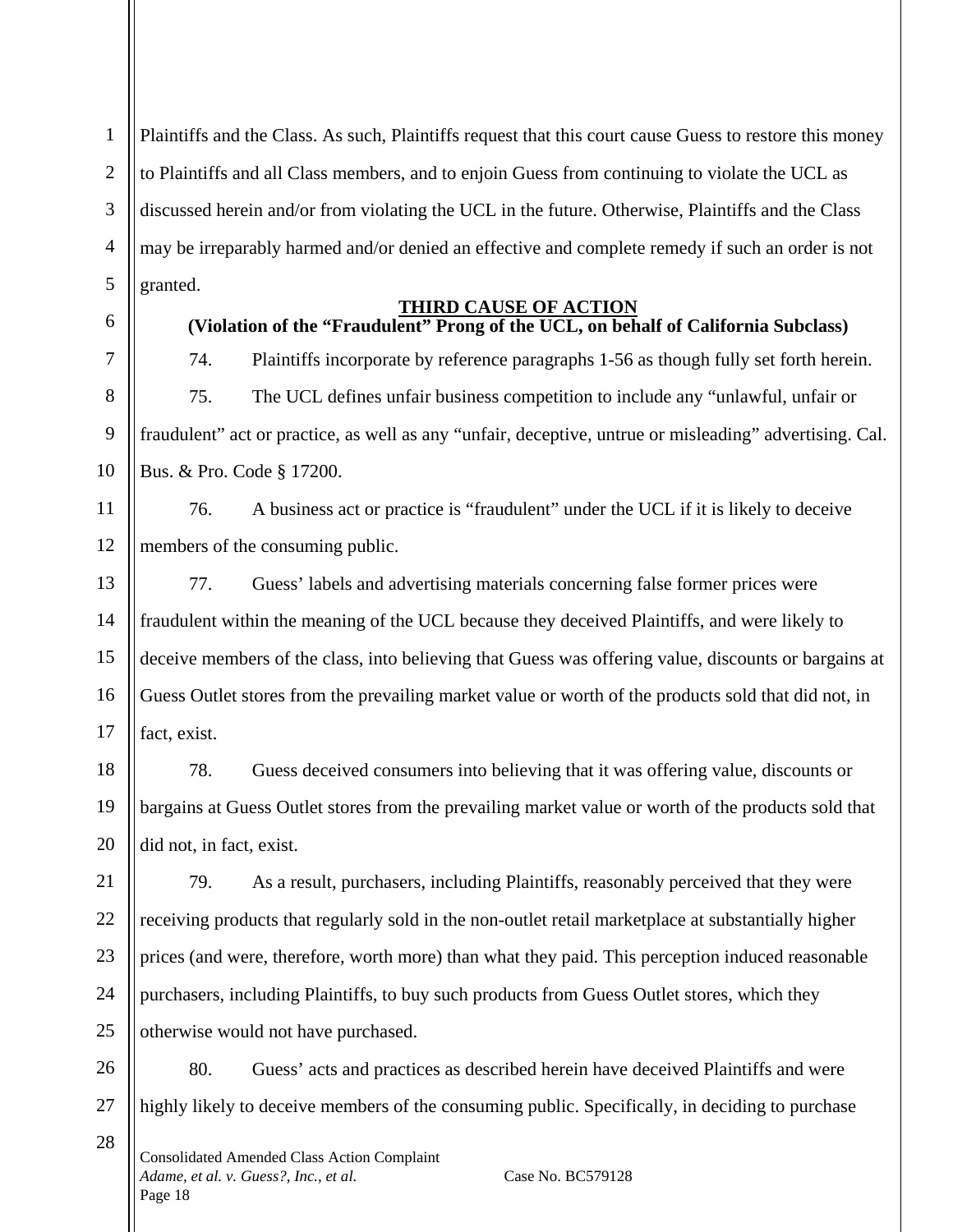1 2 3 4 5 Plaintiffs and the Class. As such, Plaintiffs request that this court cause Guess to restore this money to Plaintiffs and all Class members, and to enjoin Guess from continuing to violate the UCL as discussed herein and/or from violating the UCL in the future. Otherwise, Plaintiffs and the Class may be irreparably harmed and/or denied an effective and complete remedy if such an order is not granted.

6

7

8

9

10

21

28

# **THIRD CAUSE OF ACTION**

# **(Violation of the "Fraudulent" Prong of the UCL, on behalf of California Subclass)**

74. Plaintiffs incorporate by reference paragraphs 1-56 as though fully set forth herein. 75. The UCL defines unfair business competition to include any "unlawful, unfair or fraudulent" act or practice, as well as any "unfair, deceptive, untrue or misleading" advertising. Cal. Bus. & Pro. Code § 17200.

11 12 76. A business act or practice is "fraudulent" under the UCL if it is likely to deceive members of the consuming public.

13 14 15 16 17 77. Guess' labels and advertising materials concerning false former prices were fraudulent within the meaning of the UCL because they deceived Plaintiffs, and were likely to deceive members of the class, into believing that Guess was offering value, discounts or bargains at Guess Outlet stores from the prevailing market value or worth of the products sold that did not, in fact, exist.

18 19 20 78. Guess deceived consumers into believing that it was offering value, discounts or bargains at Guess Outlet stores from the prevailing market value or worth of the products sold that did not, in fact, exist.

22 23 24 25 79. As a result, purchasers, including Plaintiffs, reasonably perceived that they were receiving products that regularly sold in the non-outlet retail marketplace at substantially higher prices (and were, therefore, worth more) than what they paid. This perception induced reasonable purchasers, including Plaintiffs, to buy such products from Guess Outlet stores, which they otherwise would not have purchased.

26 27 80. Guess' acts and practices as described herein have deceived Plaintiffs and were highly likely to deceive members of the consuming public. Specifically, in deciding to purchase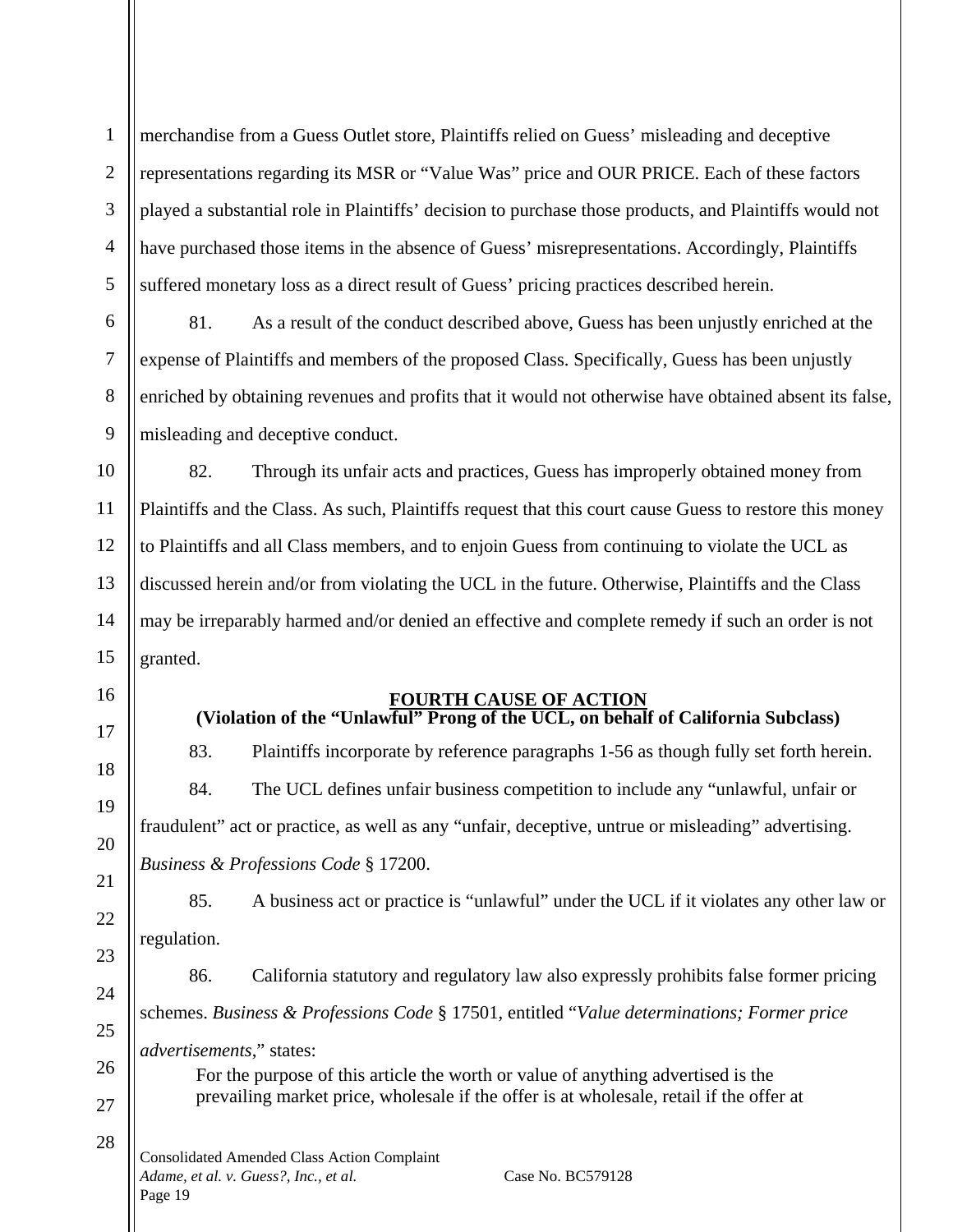1 2 3 4 5 merchandise from a Guess Outlet store, Plaintiffs relied on Guess' misleading and deceptive representations regarding its MSR or "Value Was" price and OUR PRICE. Each of these factors played a substantial role in Plaintiffs' decision to purchase those products, and Plaintiffs would not have purchased those items in the absence of Guess' misrepresentations. Accordingly, Plaintiffs suffered monetary loss as a direct result of Guess' pricing practices described herein.

81. As a result of the conduct described above, Guess has been unjustly enriched at the expense of Plaintiffs and members of the proposed Class. Specifically, Guess has been unjustly enriched by obtaining revenues and profits that it would not otherwise have obtained absent its false, misleading and deceptive conduct.

82. Through its unfair acts and practices, Guess has improperly obtained money from Plaintiffs and the Class. As such, Plaintiffs request that this court cause Guess to restore this money to Plaintiffs and all Class members, and to enjoin Guess from continuing to violate the UCL as discussed herein and/or from violating the UCL in the future. Otherwise, Plaintiffs and the Class may be irreparably harmed and/or denied an effective and complete remedy if such an order is not granted.

# 16

6

7

8

9

10

11

12

13

14

15

17

18

19

20

21

22

23

24

25

26

27

28

#### **FOURTH CAUSE OF ACTION (Violation of the "Unlawful" Prong of the UCL, on behalf of California Subclass)**

83. Plaintiffs incorporate by reference paragraphs 1-56 as though fully set forth herein. 84. The UCL defines unfair business competition to include any "unlawful, unfair or fraudulent" act or practice, as well as any "unfair, deceptive, untrue or misleading" advertising. *Business & Professions Code* § 17200.

85. A business act or practice is "unlawful" under the UCL if it violates any other law or regulation.

86. California statutory and regulatory law also expressly prohibits false former pricing schemes. *Business & Professions Code* § 17501, entitled "*Value determinations; Former price advertisements*," states: For the purpose of this article the worth or value of anything advertised is the prevailing market price, wholesale if the offer is at wholesale, retail if the offer at

Consolidated Amended Class Action Complaint *Adame, et al. v. Guess?, Inc., et al.* Case No. BC579128 Page 19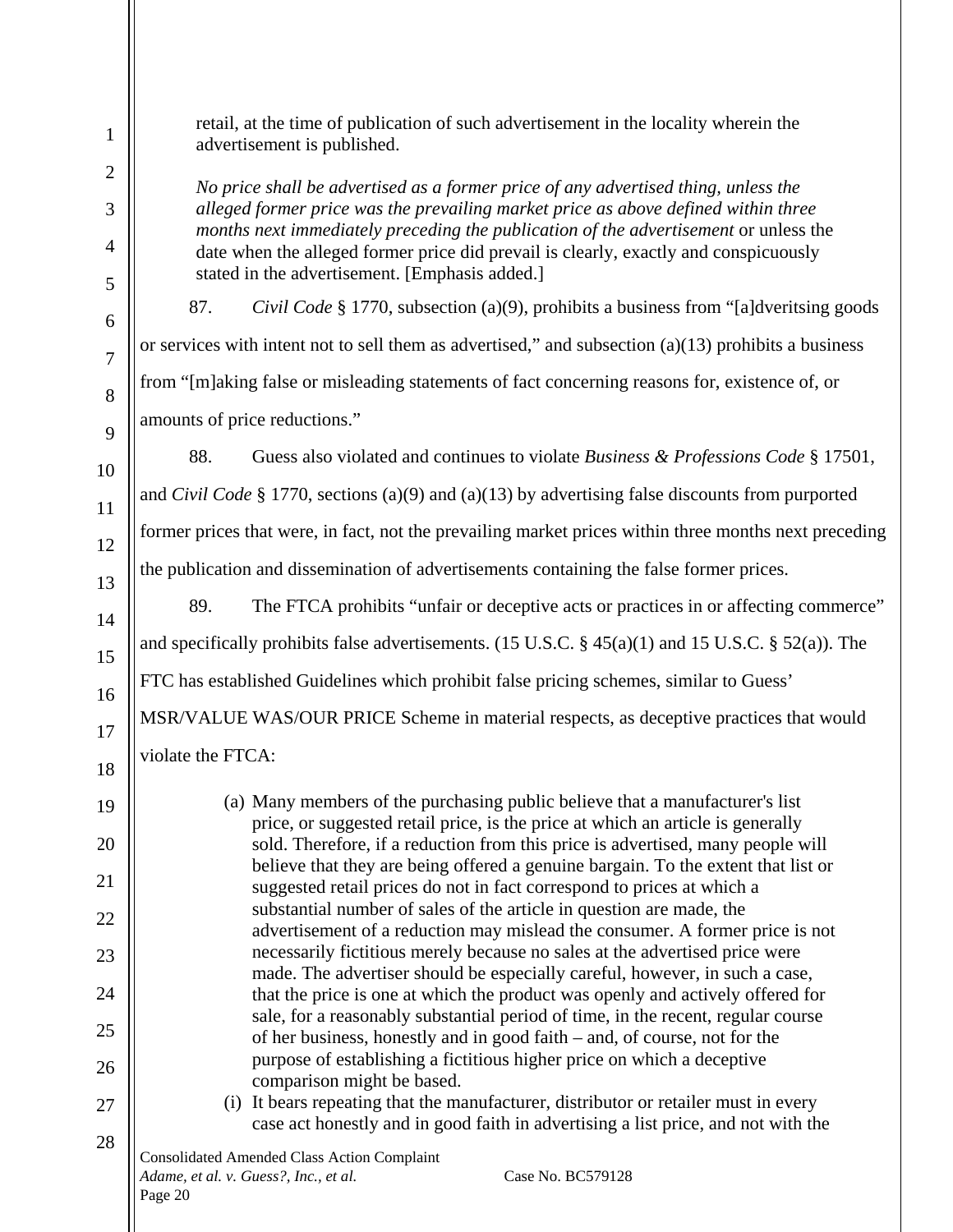retail, at the time of publication of such advertisement in the locality wherein the advertisement is published.

*No price shall be advertised as a former price of any advertised thing, unless the alleged former price was the prevailing market price as above defined within three months next immediately preceding the publication of the advertisement or unless the* date when the alleged former price did prevail is clearly, exactly and conspicuously stated in the advertisement. [Emphasis added.]

87. *Civil Code* § 1770, subsection (a)(9), prohibits a business from "[a]dveritsing goods or services with intent not to sell them as advertised," and subsection  $(a)(13)$  prohibits a business from "[m]aking false or misleading statements of fact concerning reasons for, existence of, or amounts of price reductions."

88. Guess also violated and continues to violate *Business & Professions Code* § 17501, and *Civil Code* § 1770, sections (a)(9) and (a)(13) by advertising false discounts from purported former prices that were, in fact, not the prevailing market prices within three months next preceding the publication and dissemination of advertisements containing the false former prices.

89. The FTCA prohibits "unfair or deceptive acts or practices in or affecting commerce" and specifically prohibits false advertisements. (15 U.S.C.  $\S$  45(a)(1) and 15 U.S.C.  $\S$  52(a)). The FTC has established Guidelines which prohibit false pricing schemes, similar to Guess' MSR/VALUE WAS/OUR PRICE Scheme in material respects, as deceptive practices that would violate the FTCA:

(a) Many members of the purchasing public believe that a manufacturer's list price, or suggested retail price, is the price at which an article is generally sold. Therefore, if a reduction from this price is advertised, many people will believe that they are being offered a genuine bargain. To the extent that list or suggested retail prices do not in fact correspond to prices at which a substantial number of sales of the article in question are made, the advertisement of a reduction may mislead the consumer. A former price is not necessarily fictitious merely because no sales at the advertised price were made. The advertiser should be especially careful, however, in such a case, that the price is one at which the product was openly and actively offered for sale, for a reasonably substantial period of time, in the recent, regular course of her business, honestly and in good faith – and, of course, not for the purpose of establishing a fictitious higher price on which a deceptive comparison might be based.

(i) It bears repeating that the manufacturer, distributor or retailer must in every case act honestly and in good faith in advertising a list price, and not with the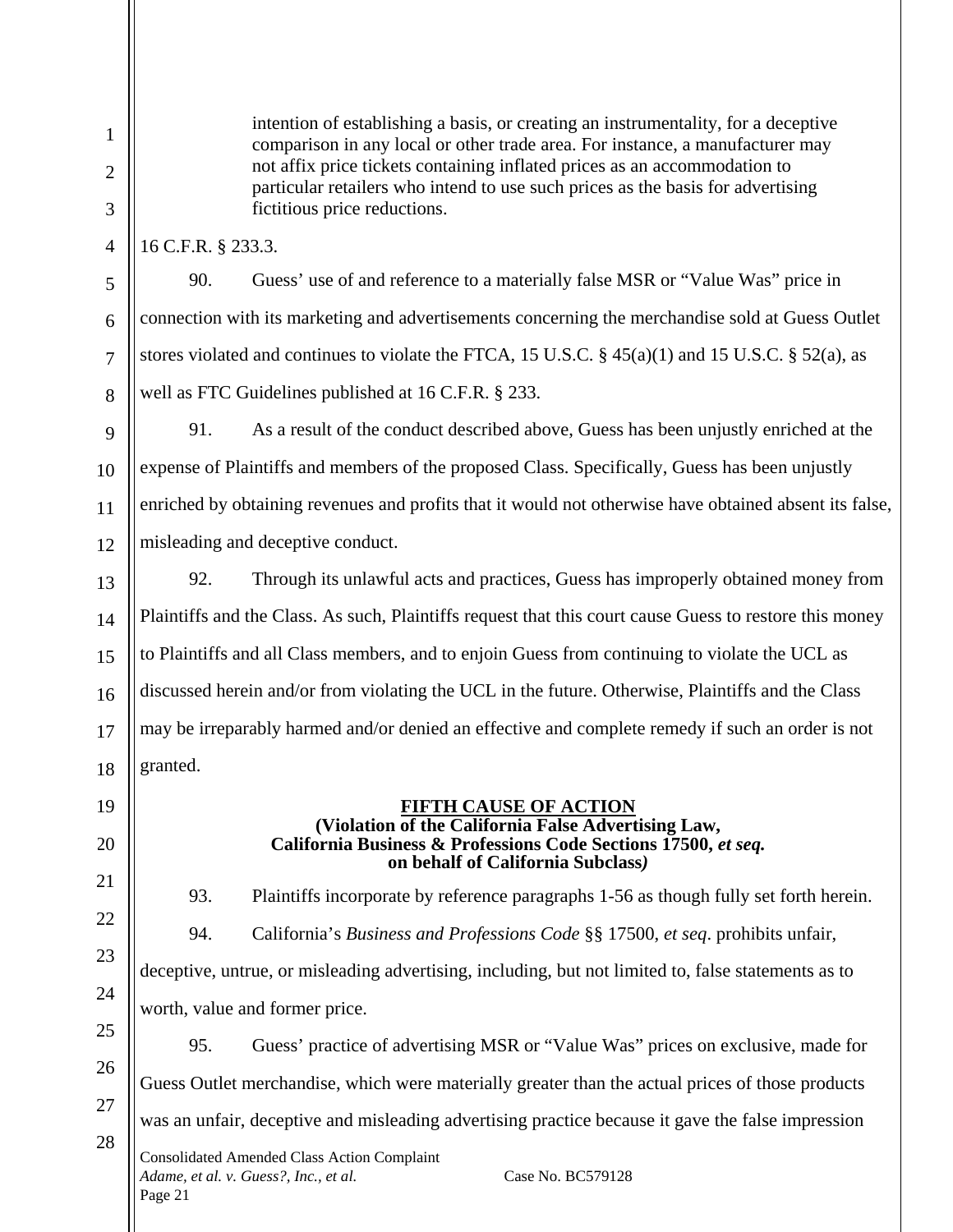3

4

5

6

7

8

intention of establishing a basis, or creating an instrumentality, for a deceptive comparison in any local or other trade area. For instance, a manufacturer may not affix price tickets containing inflated prices as an accommodation to particular retailers who intend to use such prices as the basis for advertising fictitious price reductions.

16 C.F.R. § 233.3.

90. Guess' use of and reference to a materially false MSR or "Value Was" price in connection with its marketing and advertisements concerning the merchandise sold at Guess Outlet stores violated and continues to violate the FTCA, 15 U.S.C.  $\S$  45(a)(1) and 15 U.S.C.  $\S$  52(a), as well as FTC Guidelines published at 16 C.F.R. § 233.

9 10 11 12 91. As a result of the conduct described above, Guess has been unjustly enriched at the expense of Plaintiffs and members of the proposed Class. Specifically, Guess has been unjustly enriched by obtaining revenues and profits that it would not otherwise have obtained absent its false, misleading and deceptive conduct.

13 14 15 16 17 18 92. Through its unlawful acts and practices, Guess has improperly obtained money from Plaintiffs and the Class. As such, Plaintiffs request that this court cause Guess to restore this money to Plaintiffs and all Class members, and to enjoin Guess from continuing to violate the UCL as discussed herein and/or from violating the UCL in the future. Otherwise, Plaintiffs and the Class may be irreparably harmed and/or denied an effective and complete remedy if such an order is not granted.

19

20

21

22

23

24

25

26

27

28

### **FIFTH CAUSE OF ACTION (Violation of the California False Advertising Law, California Business & Professions Code Sections 17500,** *et seq.* **on behalf of California Subclass***)*

93. Plaintiffs incorporate by reference paragraphs 1-56 as though fully set forth herein.

94. California's *Business and Professions Code* §§ 17500, *et seq*. prohibits unfair, deceptive, untrue, or misleading advertising, including, but not limited to, false statements as to worth, value and former price.

95. Guess' practice of advertising MSR or "Value Was" prices on exclusive, made for Guess Outlet merchandise, which were materially greater than the actual prices of those products was an unfair, deceptive and misleading advertising practice because it gave the false impression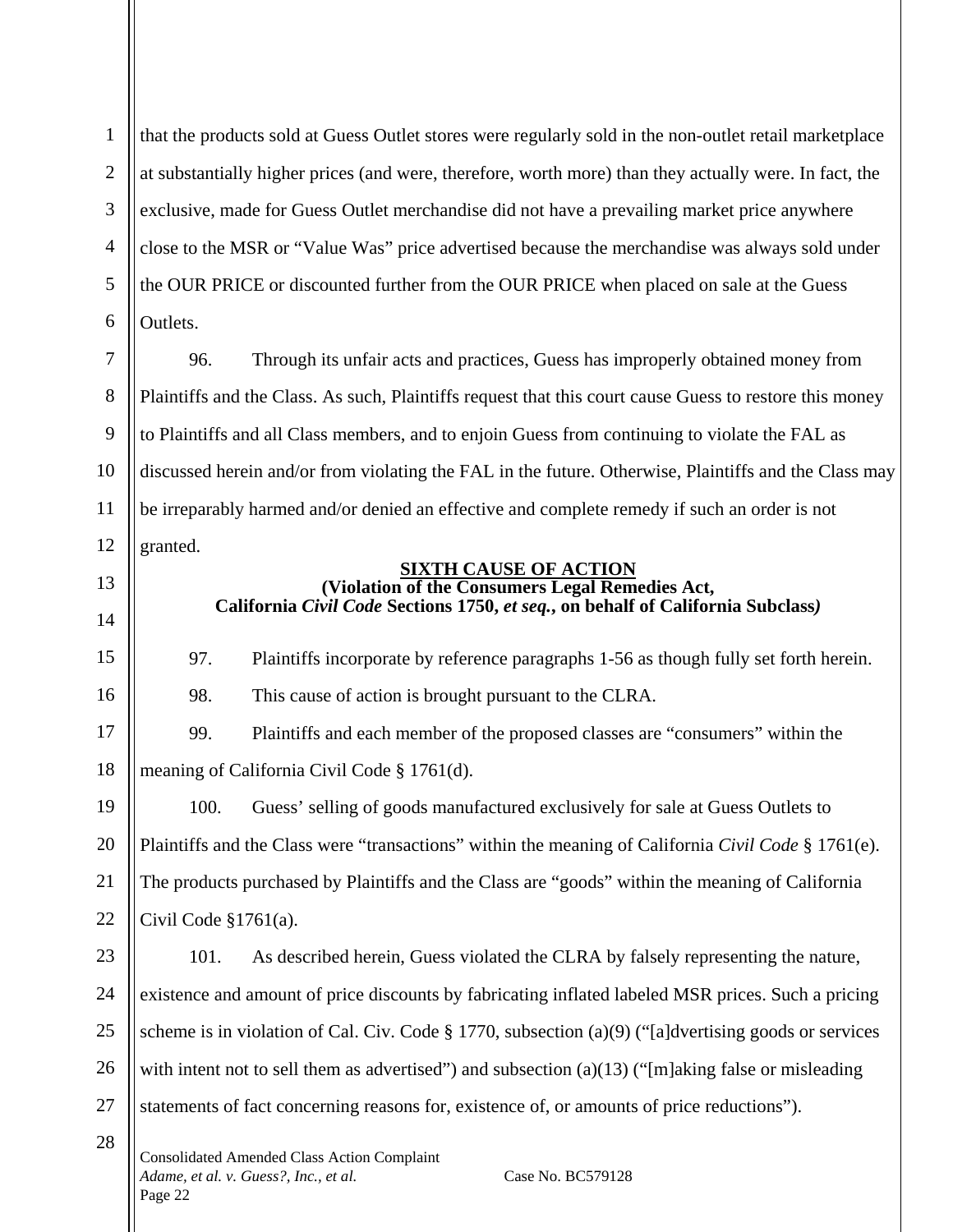1 2 3 4 5 6 that the products sold at Guess Outlet stores were regularly sold in the non-outlet retail marketplace at substantially higher prices (and were, therefore, worth more) than they actually were. In fact, the exclusive, made for Guess Outlet merchandise did not have a prevailing market price anywhere close to the MSR or "Value Was" price advertised because the merchandise was always sold under the OUR PRICE or discounted further from the OUR PRICE when placed on sale at the Guess Outlets.

7 8 9 10 11 12 96. Through its unfair acts and practices, Guess has improperly obtained money from Plaintiffs and the Class. As such, Plaintiffs request that this court cause Guess to restore this money to Plaintiffs and all Class members, and to enjoin Guess from continuing to violate the FAL as discussed herein and/or from violating the FAL in the future. Otherwise, Plaintiffs and the Class may be irreparably harmed and/or denied an effective and complete remedy if such an order is not granted.

13

14

15

16

17

18

28

**SIXTH CAUSE OF ACTION (Violation of the Consumers Legal Remedies Act, California** *Civil Code* **Sections 1750,** *et seq.***, on behalf of California Subclass***)*

97. Plaintiffs incorporate by reference paragraphs 1-56 as though fully set forth herein. 98. This cause of action is brought pursuant to the CLRA.

99. Plaintiffs and each member of the proposed classes are "consumers" within the meaning of California Civil Code § 1761(d).

19 20 21 22 100. Guess' selling of goods manufactured exclusively for sale at Guess Outlets to Plaintiffs and the Class were "transactions" within the meaning of California *Civil Code* § 1761(e). The products purchased by Plaintiffs and the Class are "goods" within the meaning of California Civil Code  $$1761(a)$ .

23 24 25 26 27 101. As described herein, Guess violated the CLRA by falsely representing the nature, existence and amount of price discounts by fabricating inflated labeled MSR prices. Such a pricing scheme is in violation of Cal. Civ. Code § 1770, subsection (a)(9) ("[a]dvertising goods or services with intent not to sell them as advertised") and subsection (a)(13) ("[m]aking false or misleading statements of fact concerning reasons for, existence of, or amounts of price reductions").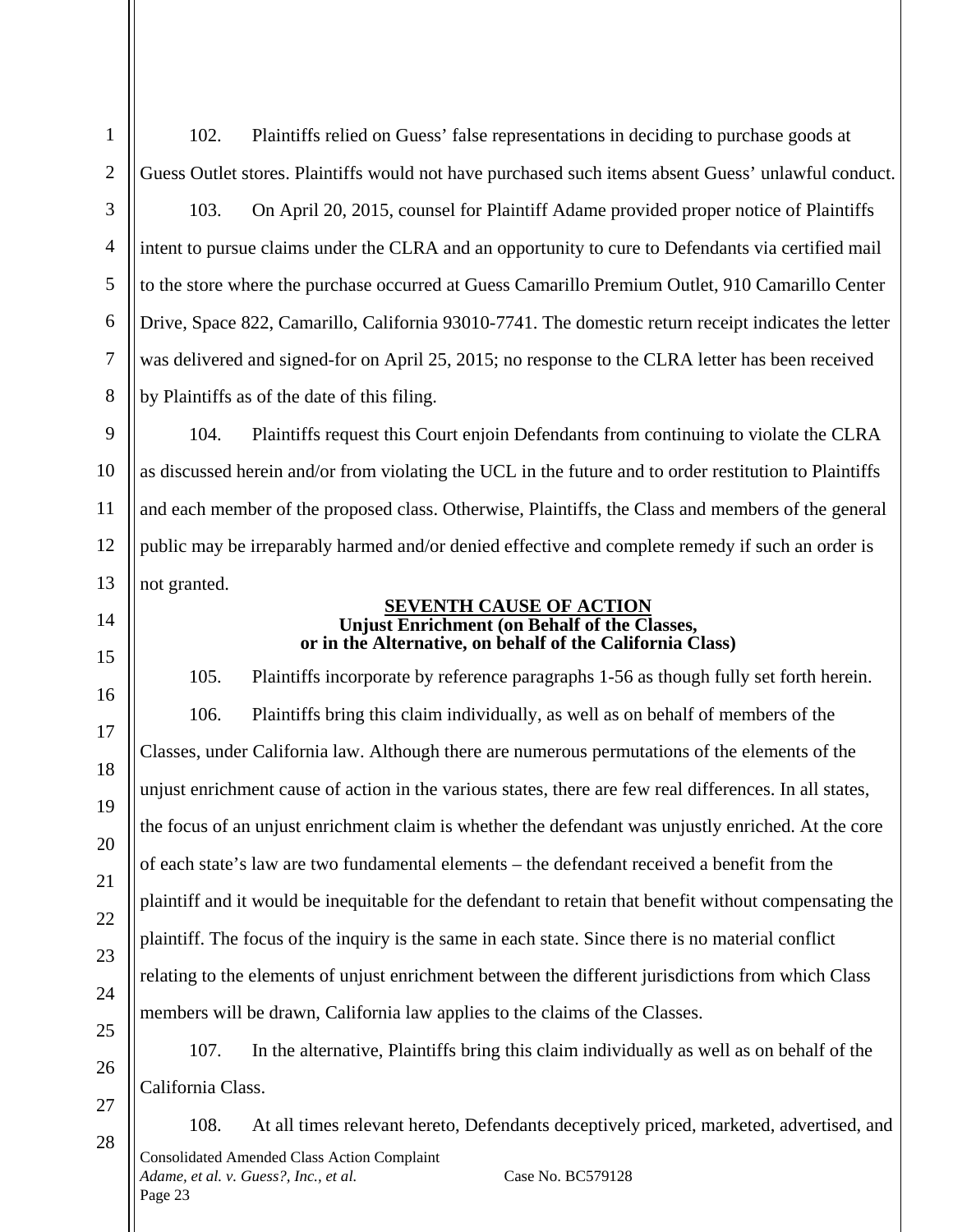102. Plaintiffs relied on Guess' false representations in deciding to purchase goods at Guess Outlet stores. Plaintiffs would not have purchased such items absent Guess' unlawful conduct.

103. On April 20, 2015, counsel for Plaintiff Adame provided proper notice of Plaintiffs intent to pursue claims under the CLRA and an opportunity to cure to Defendants via certified mail to the store where the purchase occurred at Guess Camarillo Premium Outlet, 910 Camarillo Center Drive, Space 822, Camarillo, California 93010-7741. The domestic return receipt indicates the letter was delivered and signed-for on April 25, 2015; no response to the CLRA letter has been received by Plaintiffs as of the date of this filing.

104. Plaintiffs request this Court enjoin Defendants from continuing to violate the CLRA as discussed herein and/or from violating the UCL in the future and to order restitution to Plaintiffs and each member of the proposed class. Otherwise, Plaintiffs, the Class and members of the general public may be irreparably harmed and/or denied effective and complete remedy if such an order is not granted.

### **SEVENTH CAUSE OF ACTION Unjust Enrichment (on Behalf of the Classes, or in the Alternative, on behalf of the California Class)**

105. Plaintiffs incorporate by reference paragraphs 1-56 as though fully set forth herein. 106. Plaintiffs bring this claim individually, as well as on behalf of members of the Classes, under California law. Although there are numerous permutations of the elements of the unjust enrichment cause of action in the various states, there are few real differences. In all states, the focus of an unjust enrichment claim is whether the defendant was unjustly enriched. At the core of each state's law are two fundamental elements – the defendant received a benefit from the plaintiff and it would be inequitable for the defendant to retain that benefit without compensating the plaintiff. The focus of the inquiry is the same in each state. Since there is no material conflict relating to the elements of unjust enrichment between the different jurisdictions from which Class members will be drawn, California law applies to the claims of the Classes.

107. In the alternative, Plaintiffs bring this claim individually as well as on behalf of the California Class.

108. At all times relevant hereto, Defendants deceptively priced, marketed, advertised, and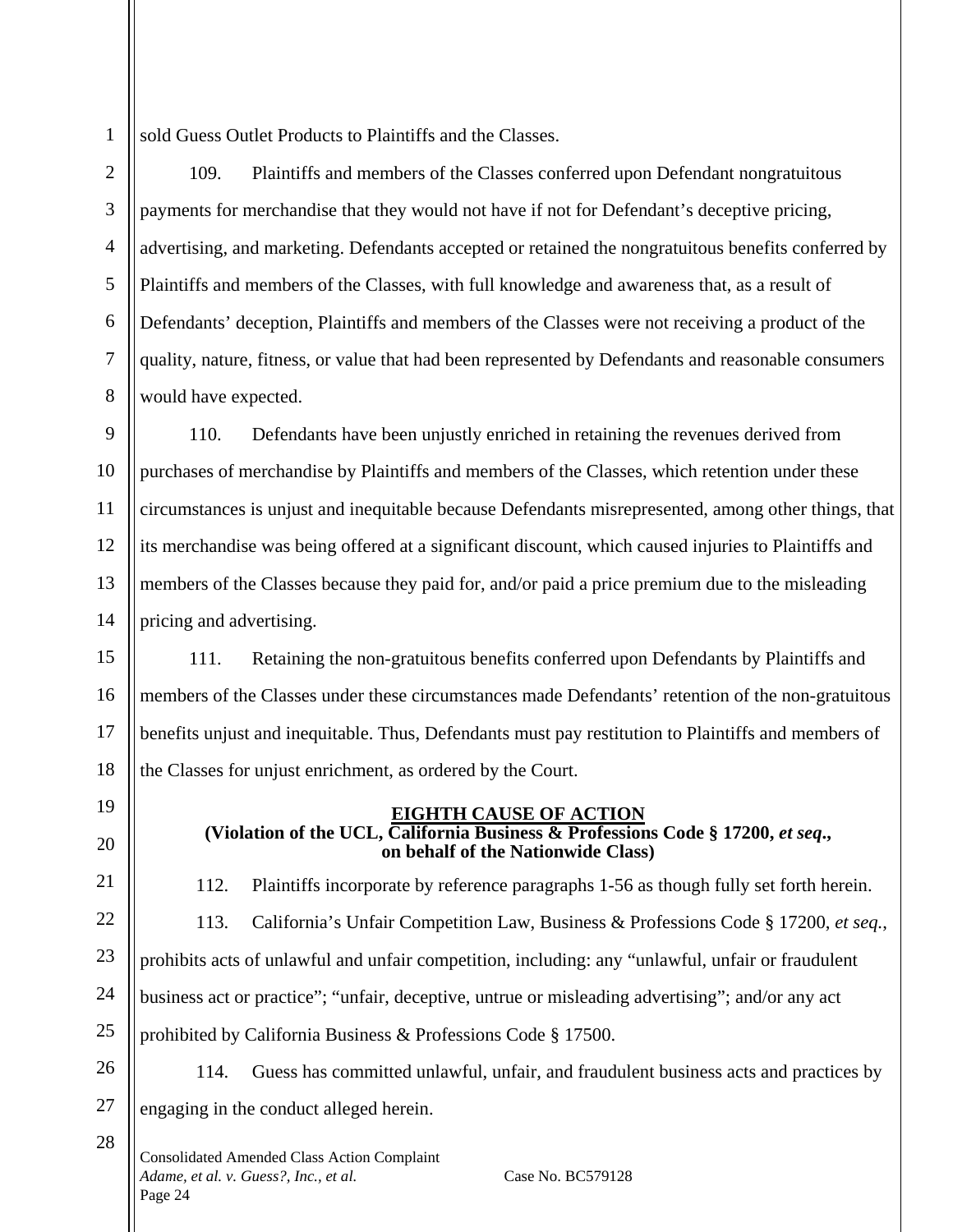2

3

4

5

6

7

8

sold Guess Outlet Products to Plaintiffs and the Classes.

109. Plaintiffs and members of the Classes conferred upon Defendant nongratuitous payments for merchandise that they would not have if not for Defendant's deceptive pricing, advertising, and marketing. Defendants accepted or retained the nongratuitous benefits conferred by Plaintiffs and members of the Classes, with full knowledge and awareness that, as a result of Defendants' deception, Plaintiffs and members of the Classes were not receiving a product of the quality, nature, fitness, or value that had been represented by Defendants and reasonable consumers would have expected.

9 10 11 12 13 14 110. Defendants have been unjustly enriched in retaining the revenues derived from purchases of merchandise by Plaintiffs and members of the Classes, which retention under these circumstances is unjust and inequitable because Defendants misrepresented, among other things, that its merchandise was being offered at a significant discount, which caused injuries to Plaintiffs and members of the Classes because they paid for, and/or paid a price premium due to the misleading pricing and advertising.

15 16 17 18 111. Retaining the non-gratuitous benefits conferred upon Defendants by Plaintiffs and members of the Classes under these circumstances made Defendants' retention of the non-gratuitous benefits unjust and inequitable. Thus, Defendants must pay restitution to Plaintiffs and members of the Classes for unjust enrichment, as ordered by the Court.

19

20

21

22

23

24

25

112. Plaintiffs incorporate by reference paragraphs 1-56 as though fully set forth herein.

**EIGHTH CAUSE OF ACTION (Violation of the UCL, California Business & Professions Code § 17200,** *et seq***., on behalf of the Nationwide Class)**

113. California's Unfair Competition Law, Business & Professions Code § 17200, *et seq.*, prohibits acts of unlawful and unfair competition, including: any "unlawful, unfair or fraudulent business act or practice"; "unfair, deceptive, untrue or misleading advertising"; and/or any act prohibited by California Business & Professions Code § 17500.

26 27

28

114. Guess has committed unlawful, unfair, and fraudulent business acts and practices by engaging in the conduct alleged herein.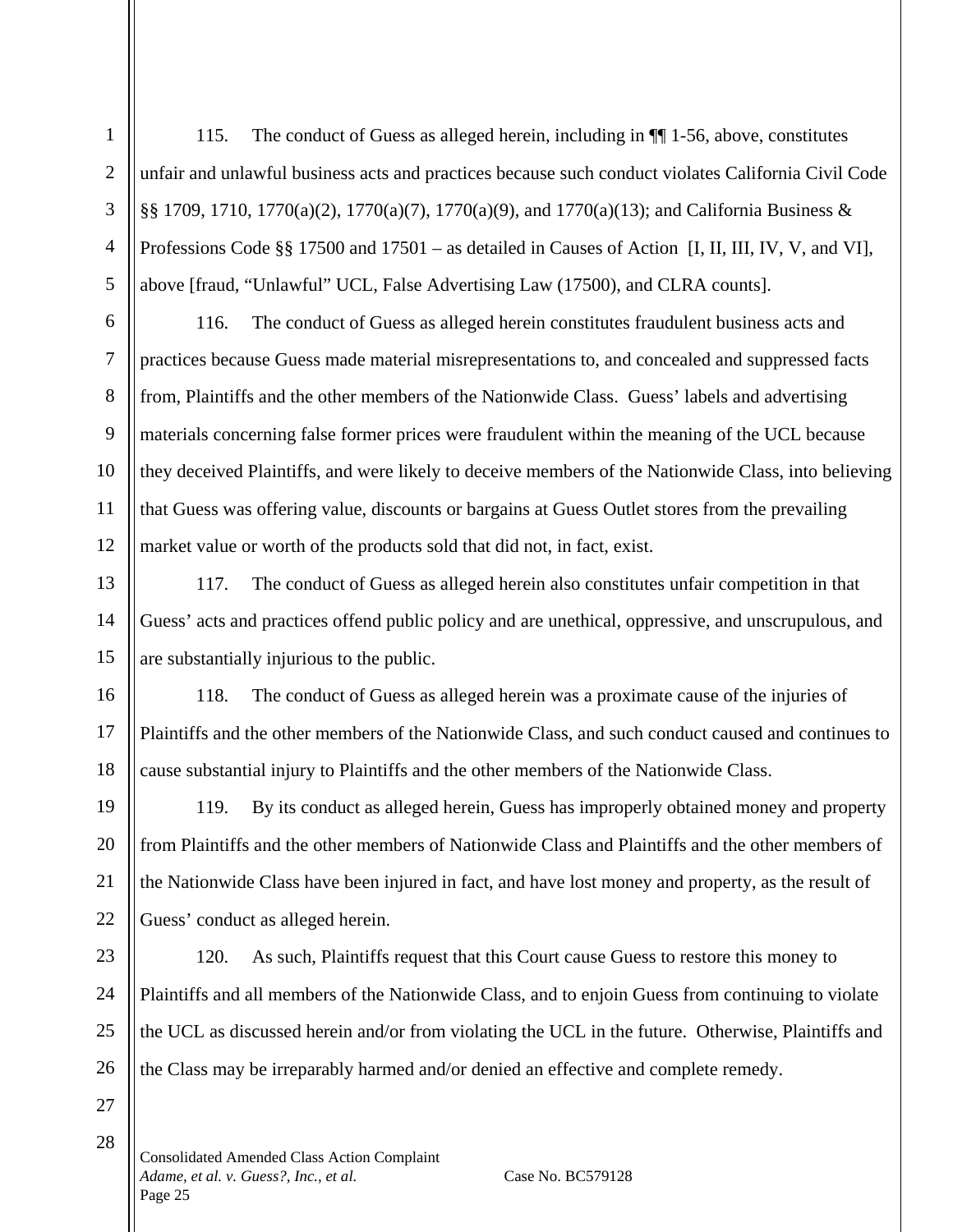115. The conduct of Guess as alleged herein, including in ¶¶ 1-56, above, constitutes unfair and unlawful business acts and practices because such conduct violates California Civil Code §§ 1709, 1710, 1770(a)(2), 1770(a)(7), 1770(a)(9), and 1770(a)(13); and California Business & Professions Code §§ 17500 and 17501 – as detailed in Causes of Action [I, II, III, IV, V, and VI], above [fraud, "Unlawful" UCL, False Advertising Law (17500), and CLRA counts].

116. The conduct of Guess as alleged herein constitutes fraudulent business acts and practices because Guess made material misrepresentations to, and concealed and suppressed facts from, Plaintiffs and the other members of the Nationwide Class. Guess' labels and advertising materials concerning false former prices were fraudulent within the meaning of the UCL because they deceived Plaintiffs, and were likely to deceive members of the Nationwide Class, into believing that Guess was offering value, discounts or bargains at Guess Outlet stores from the prevailing market value or worth of the products sold that did not, in fact, exist.

117. The conduct of Guess as alleged herein also constitutes unfair competition in that Guess' acts and practices offend public policy and are unethical, oppressive, and unscrupulous, and are substantially injurious to the public.

118. The conduct of Guess as alleged herein was a proximate cause of the injuries of Plaintiffs and the other members of the Nationwide Class, and such conduct caused and continues to cause substantial injury to Plaintiffs and the other members of the Nationwide Class.

119. By its conduct as alleged herein, Guess has improperly obtained money and property from Plaintiffs and the other members of Nationwide Class and Plaintiffs and the other members of the Nationwide Class have been injured in fact, and have lost money and property, as the result of Guess' conduct as alleged herein.

120. As such, Plaintiffs request that this Court cause Guess to restore this money to Plaintiffs and all members of the Nationwide Class, and to enjoin Guess from continuing to violate the UCL as discussed herein and/or from violating the UCL in the future. Otherwise, Plaintiffs and the Class may be irreparably harmed and/or denied an effective and complete remedy.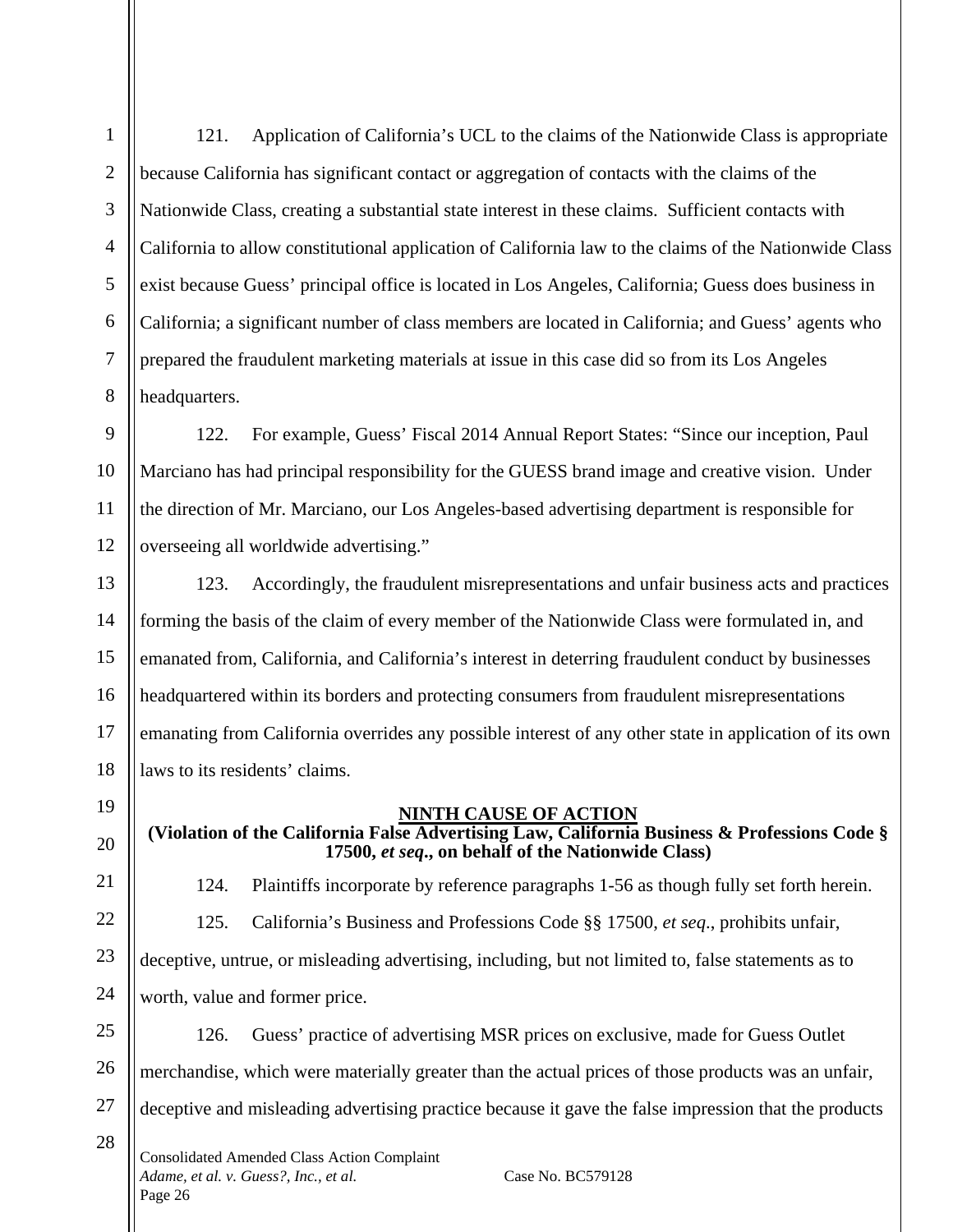121. Application of California's UCL to the claims of the Nationwide Class is appropriate because California has significant contact or aggregation of contacts with the claims of the Nationwide Class, creating a substantial state interest in these claims. Sufficient contacts with California to allow constitutional application of California law to the claims of the Nationwide Class exist because Guess' principal office is located in Los Angeles, California; Guess does business in California; a significant number of class members are located in California; and Guess' agents who prepared the fraudulent marketing materials at issue in this case did so from its Los Angeles headquarters.

122. For example, Guess' Fiscal 2014 Annual Report States: "Since our inception, Paul Marciano has had principal responsibility for the GUESS brand image and creative vision. Under the direction of Mr. Marciano, our Los Angeles-based advertising department is responsible for overseeing all worldwide advertising."

123. Accordingly, the fraudulent misrepresentations and unfair business acts and practices forming the basis of the claim of every member of the Nationwide Class were formulated in, and emanated from, California, and California's interest in deterring fraudulent conduct by businesses headquartered within its borders and protecting consumers from fraudulent misrepresentations emanating from California overrides any possible interest of any other state in application of its own laws to its residents' claims.

### **NINTH CAUSE OF ACTION**

**(Violation of the California False Advertising Law, California Business & Professions Code § 17500,** *et seq***., on behalf of the Nationwide Class)**

124. Plaintiffs incorporate by reference paragraphs 1-56 as though fully set forth herein.

125. California's Business and Professions Code §§ 17500, *et seq*., prohibits unfair, deceptive, untrue, or misleading advertising, including, but not limited to, false statements as to worth, value and former price.

126. Guess' practice of advertising MSR prices on exclusive, made for Guess Outlet merchandise, which were materially greater than the actual prices of those products was an unfair, deceptive and misleading advertising practice because it gave the false impression that the products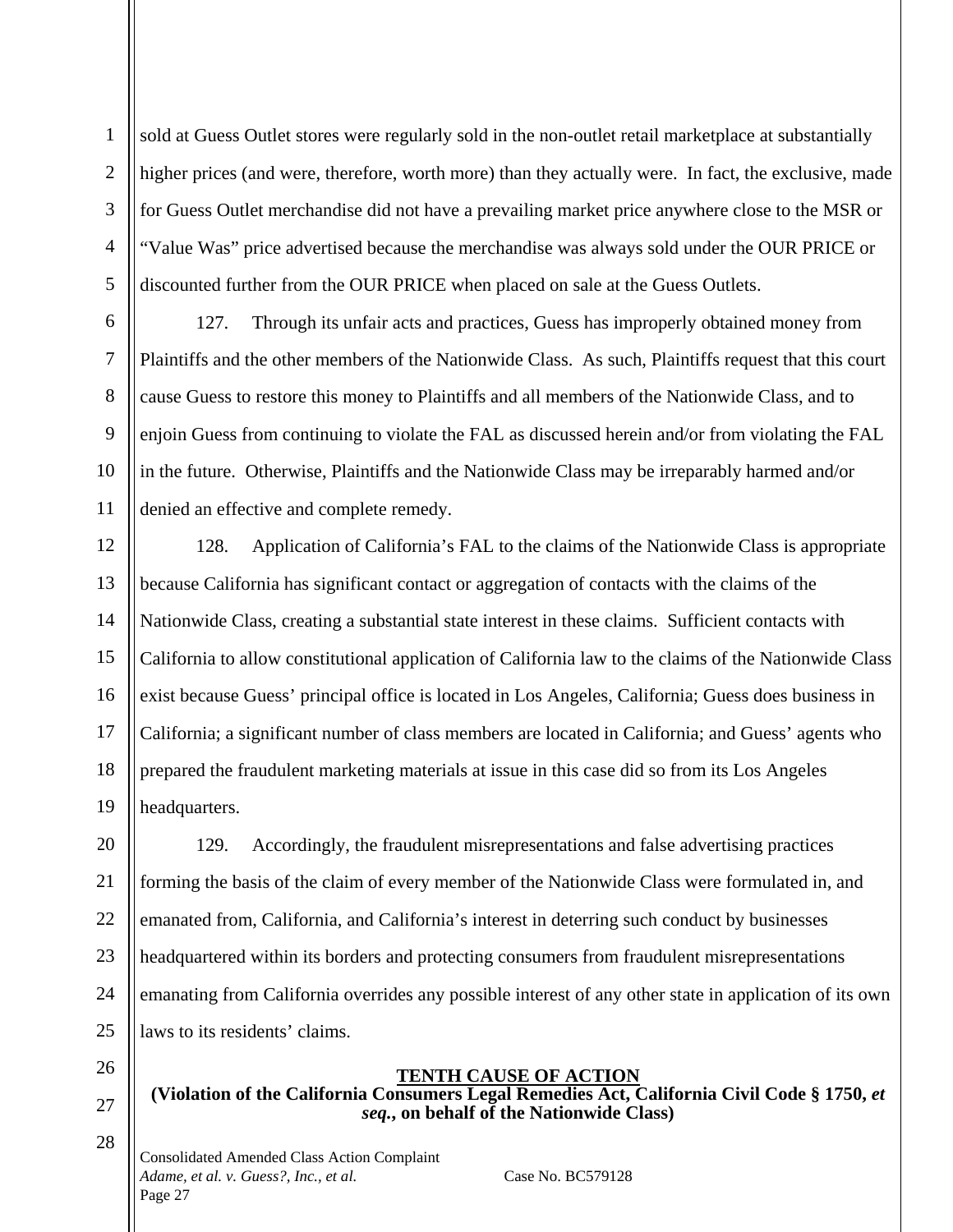2

3

4

sold at Guess Outlet stores were regularly sold in the non-outlet retail marketplace at substantially higher prices (and were, therefore, worth more) than they actually were. In fact, the exclusive, made for Guess Outlet merchandise did not have a prevailing market price anywhere close to the MSR or "Value Was" price advertised because the merchandise was always sold under the OUR PRICE or discounted further from the OUR PRICE when placed on sale at the Guess Outlets.

127. Through its unfair acts and practices, Guess has improperly obtained money from Plaintiffs and the other members of the Nationwide Class. As such, Plaintiffs request that this court cause Guess to restore this money to Plaintiffs and all members of the Nationwide Class, and to enjoin Guess from continuing to violate the FAL as discussed herein and/or from violating the FAL in the future. Otherwise, Plaintiffs and the Nationwide Class may be irreparably harmed and/or denied an effective and complete remedy.

128. Application of California's FAL to the claims of the Nationwide Class is appropriate because California has significant contact or aggregation of contacts with the claims of the Nationwide Class, creating a substantial state interest in these claims. Sufficient contacts with California to allow constitutional application of California law to the claims of the Nationwide Class exist because Guess' principal office is located in Los Angeles, California; Guess does business in California; a significant number of class members are located in California; and Guess' agents who prepared the fraudulent marketing materials at issue in this case did so from its Los Angeles headquarters.

129. Accordingly, the fraudulent misrepresentations and false advertising practices forming the basis of the claim of every member of the Nationwide Class were formulated in, and emanated from, California, and California's interest in deterring such conduct by businesses headquartered within its borders and protecting consumers from fraudulent misrepresentations emanating from California overrides any possible interest of any other state in application of its own laws to its residents' claims.

# **TENTH CAUSE OF ACTION**

**(Violation of the California Consumers Legal Remedies Act, California Civil Code § 1750,** *et seq.***, on behalf of the Nationwide Class)**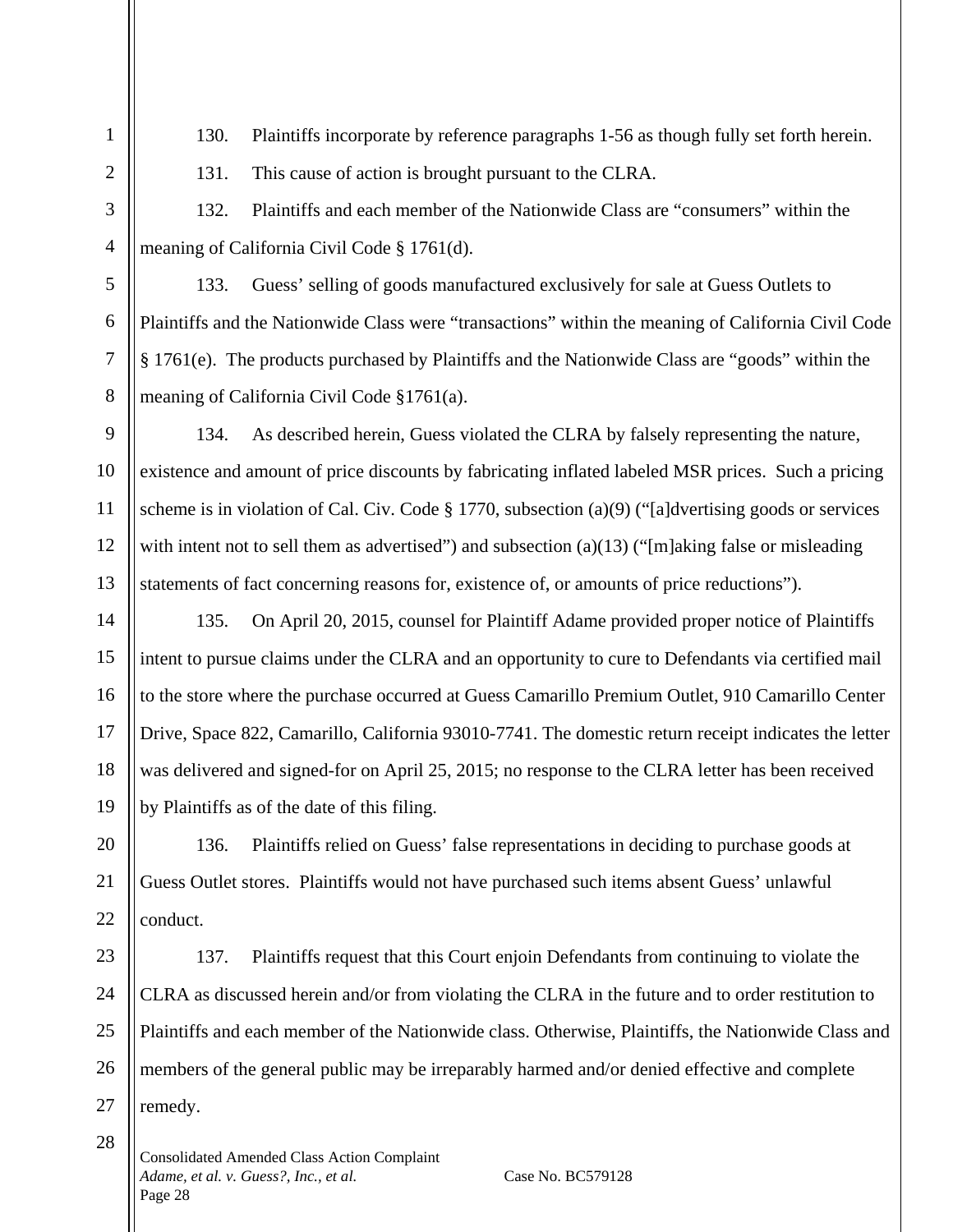28

130. Plaintiffs incorporate by reference paragraphs 1-56 as though fully set forth herein.

131. This cause of action is brought pursuant to the CLRA.

132. Plaintiffs and each member of the Nationwide Class are "consumers" within the meaning of California Civil Code § 1761(d).

133. Guess' selling of goods manufactured exclusively for sale at Guess Outlets to Plaintiffs and the Nationwide Class were "transactions" within the meaning of California Civil Code § 1761(e). The products purchased by Plaintiffs and the Nationwide Class are "goods" within the meaning of California Civil Code §1761(a).

134. As described herein, Guess violated the CLRA by falsely representing the nature, existence and amount of price discounts by fabricating inflated labeled MSR prices. Such a pricing scheme is in violation of Cal. Civ. Code § 1770, subsection (a)(9) ("[a]dvertising goods or services with intent not to sell them as advertised") and subsection (a)(13) ("[m]aking false or misleading statements of fact concerning reasons for, existence of, or amounts of price reductions").

135. On April 20, 2015, counsel for Plaintiff Adame provided proper notice of Plaintiffs intent to pursue claims under the CLRA and an opportunity to cure to Defendants via certified mail to the store where the purchase occurred at Guess Camarillo Premium Outlet, 910 Camarillo Center Drive, Space 822, Camarillo, California 93010-7741. The domestic return receipt indicates the letter was delivered and signed-for on April 25, 2015; no response to the CLRA letter has been received by Plaintiffs as of the date of this filing.

136. Plaintiffs relied on Guess' false representations in deciding to purchase goods at Guess Outlet stores. Plaintiffs would not have purchased such items absent Guess' unlawful conduct.

137. Plaintiffs request that this Court enjoin Defendants from continuing to violate the CLRA as discussed herein and/or from violating the CLRA in the future and to order restitution to Plaintiffs and each member of the Nationwide class. Otherwise, Plaintiffs, the Nationwide Class and members of the general public may be irreparably harmed and/or denied effective and complete remedy.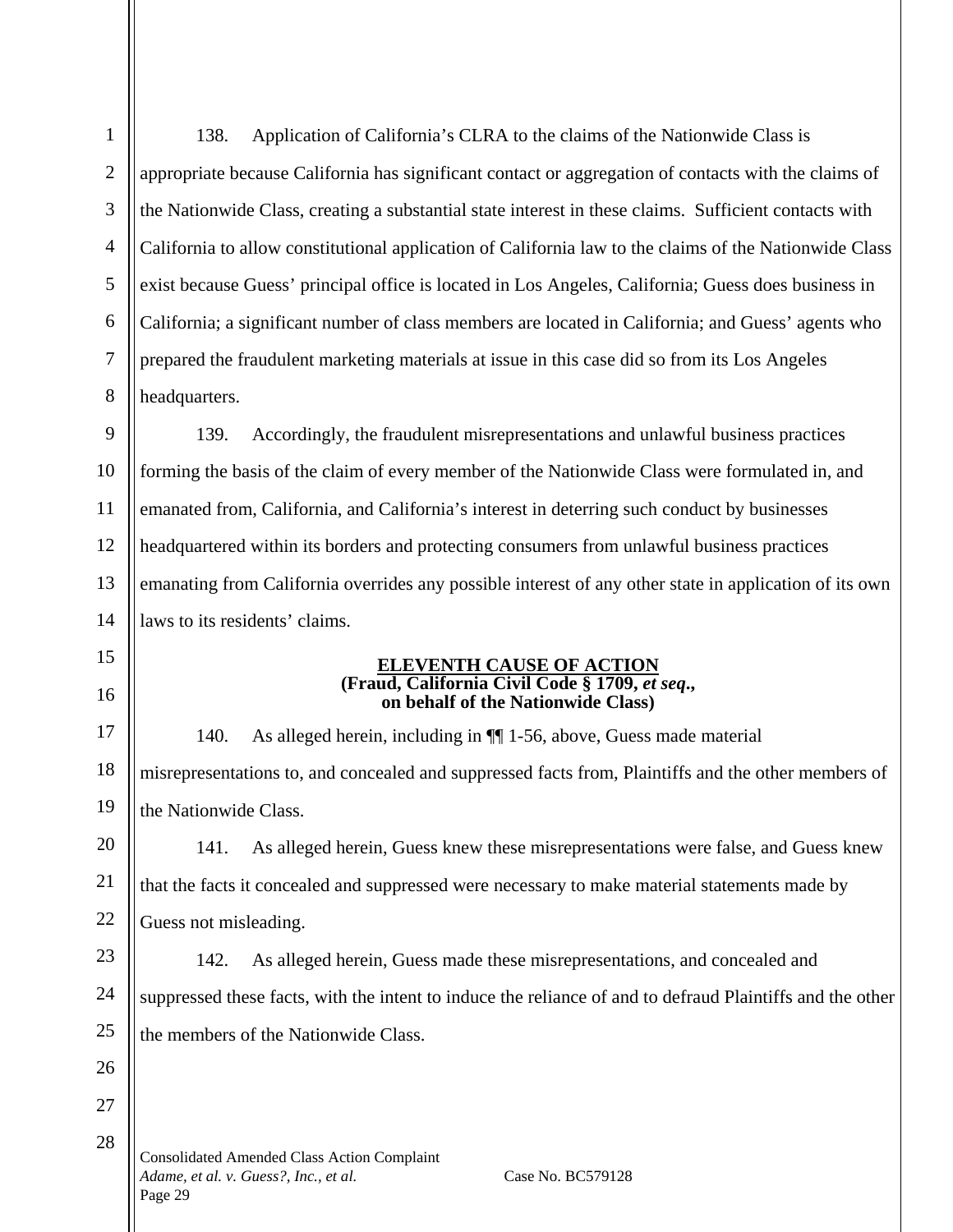138. Application of California's CLRA to the claims of the Nationwide Class is appropriate because California has significant contact or aggregation of contacts with the claims of the Nationwide Class, creating a substantial state interest in these claims. Sufficient contacts with California to allow constitutional application of California law to the claims of the Nationwide Class exist because Guess' principal office is located in Los Angeles, California; Guess does business in California; a significant number of class members are located in California; and Guess' agents who prepared the fraudulent marketing materials at issue in this case did so from its Los Angeles headquarters.

139. Accordingly, the fraudulent misrepresentations and unlawful business practices forming the basis of the claim of every member of the Nationwide Class were formulated in, and emanated from, California, and California's interest in deterring such conduct by businesses headquartered within its borders and protecting consumers from unlawful business practices emanating from California overrides any possible interest of any other state in application of its own laws to its residents' claims.

### **ELEVENTH CAUSE OF ACTION (Fraud, California Civil Code § 1709,** *et seq***., on behalf of the Nationwide Class)**

140. As alleged herein, including in ¶¶ 1-56, above, Guess made material misrepresentations to, and concealed and suppressed facts from, Plaintiffs and the other members of the Nationwide Class.

141. As alleged herein, Guess knew these misrepresentations were false, and Guess knew that the facts it concealed and suppressed were necessary to make material statements made by Guess not misleading.

142. As alleged herein, Guess made these misrepresentations, and concealed and suppressed these facts, with the intent to induce the reliance of and to defraud Plaintiffs and the other the members of the Nationwide Class.

Consolidated Amended Class Action Complaint *Adame, et al. v. Guess?, Inc., et al.* Case No. BC579128 Page 29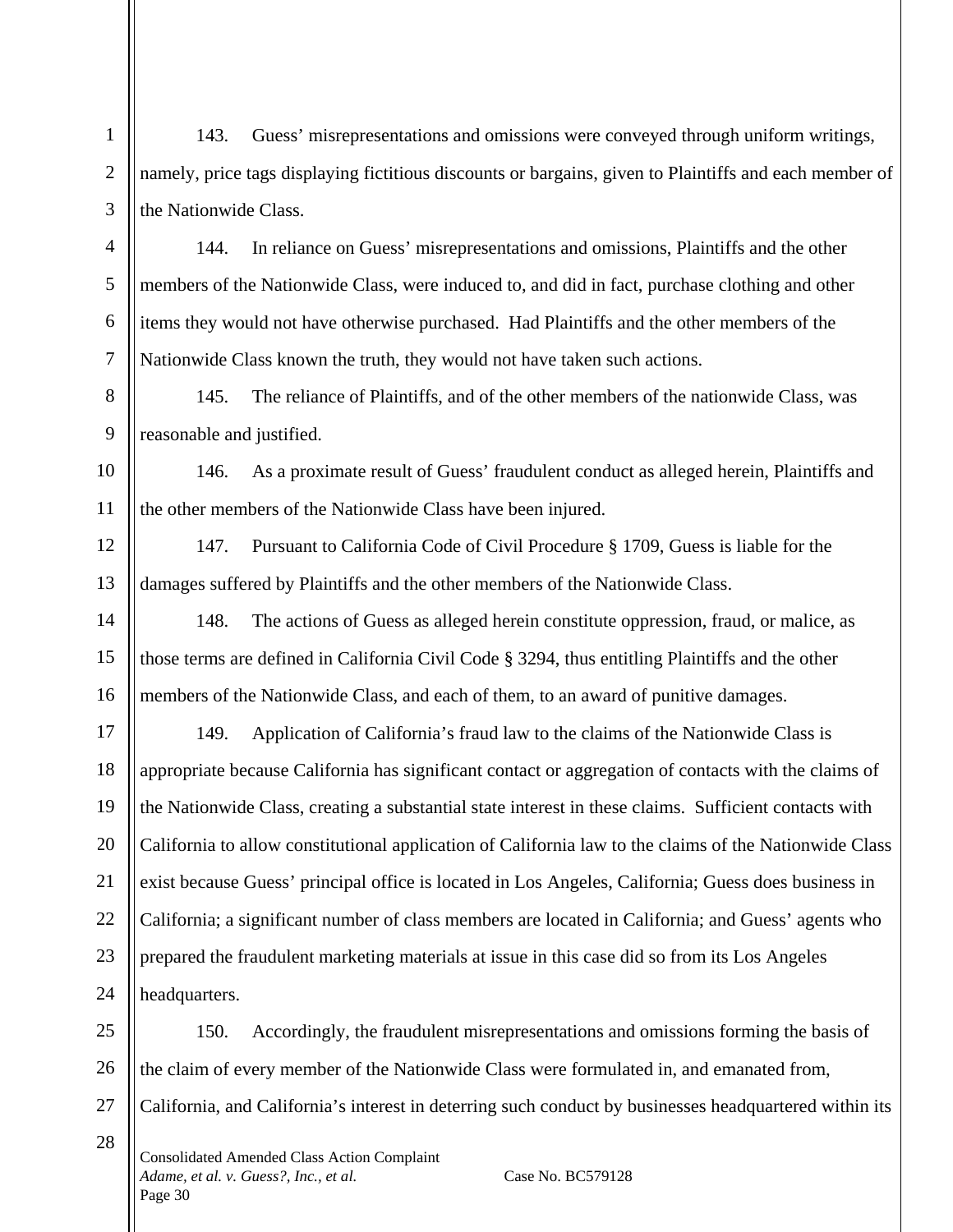143. Guess' misrepresentations and omissions were conveyed through uniform writings, namely, price tags displaying fictitious discounts or bargains, given to Plaintiffs and each member of the Nationwide Class.

144. In reliance on Guess' misrepresentations and omissions, Plaintiffs and the other members of the Nationwide Class, were induced to, and did in fact, purchase clothing and other items they would not have otherwise purchased. Had Plaintiffs and the other members of the Nationwide Class known the truth, they would not have taken such actions.

145. The reliance of Plaintiffs, and of the other members of the nationwide Class, was reasonable and justified.

146. As a proximate result of Guess' fraudulent conduct as alleged herein, Plaintiffs and the other members of the Nationwide Class have been injured.

147. Pursuant to California Code of Civil Procedure § 1709, Guess is liable for the damages suffered by Plaintiffs and the other members of the Nationwide Class.

148. The actions of Guess as alleged herein constitute oppression, fraud, or malice, as those terms are defined in California Civil Code § 3294, thus entitling Plaintiffs and the other members of the Nationwide Class, and each of them, to an award of punitive damages.

149. Application of California's fraud law to the claims of the Nationwide Class is appropriate because California has significant contact or aggregation of contacts with the claims of the Nationwide Class, creating a substantial state interest in these claims. Sufficient contacts with California to allow constitutional application of California law to the claims of the Nationwide Class exist because Guess' principal office is located in Los Angeles, California; Guess does business in California; a significant number of class members are located in California; and Guess' agents who prepared the fraudulent marketing materials at issue in this case did so from its Los Angeles headquarters.

150. Accordingly, the fraudulent misrepresentations and omissions forming the basis of the claim of every member of the Nationwide Class were formulated in, and emanated from, California, and California's interest in deterring such conduct by businesses headquartered within its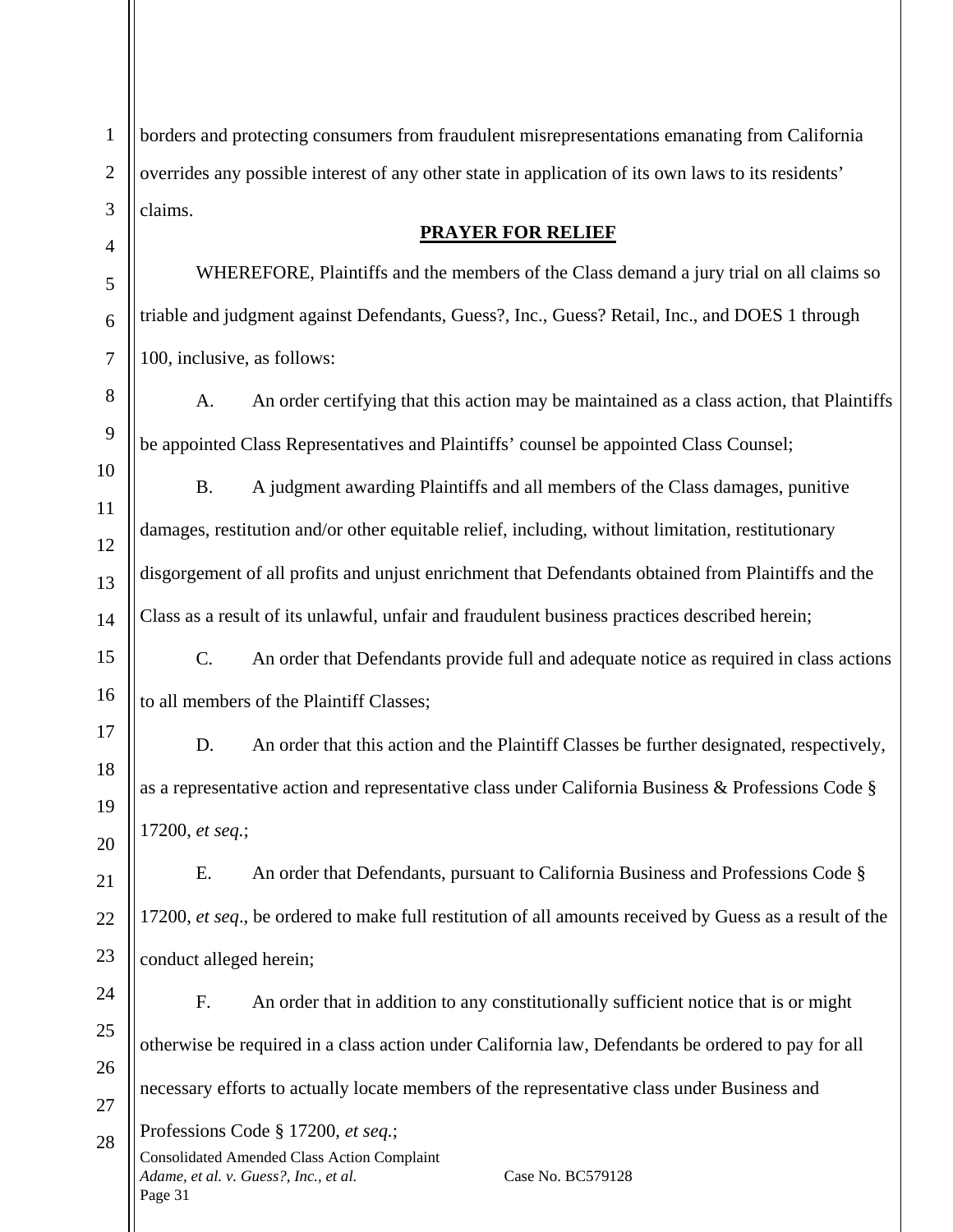borders and protecting consumers from fraudulent misrepresentations emanating from California overrides any possible interest of any other state in application of its own laws to its residents' claims.

# **PRAYER FOR RELIEF**

WHEREFORE, Plaintiffs and the members of the Class demand a jury trial on all claims so triable and judgment against Defendants, Guess?, Inc., Guess? Retail, Inc., and DOES 1 through 100, inclusive, as follows:

A. An order certifying that this action may be maintained as a class action, that Plaintiffs be appointed Class Representatives and Plaintiffs' counsel be appointed Class Counsel;

B. A judgment awarding Plaintiffs and all members of the Class damages, punitive damages, restitution and/or other equitable relief, including, without limitation, restitutionary disgorgement of all profits and unjust enrichment that Defendants obtained from Plaintiffs and the Class as a result of its unlawful, unfair and fraudulent business practices described herein;

C. An order that Defendants provide full and adequate notice as required in class actions to all members of the Plaintiff Classes;

D. An order that this action and the Plaintiff Classes be further designated, respectively, as a representative action and representative class under California Business & Professions Code § 17200, *et seq.*;

E. An order that Defendants, pursuant to California Business and Professions Code § 17200, *et seq*., be ordered to make full restitution of all amounts received by Guess as a result of the conduct alleged herein;

Consolidated Amended Class Action Complaint *Adame, et al. v. Guess?, Inc., et al.* Case No. BC579128 F. An order that in addition to any constitutionally sufficient notice that is or might otherwise be required in a class action under California law, Defendants be ordered to pay for all necessary efforts to actually locate members of the representative class under Business and Professions Code § 17200, *et seq.*;

Page 31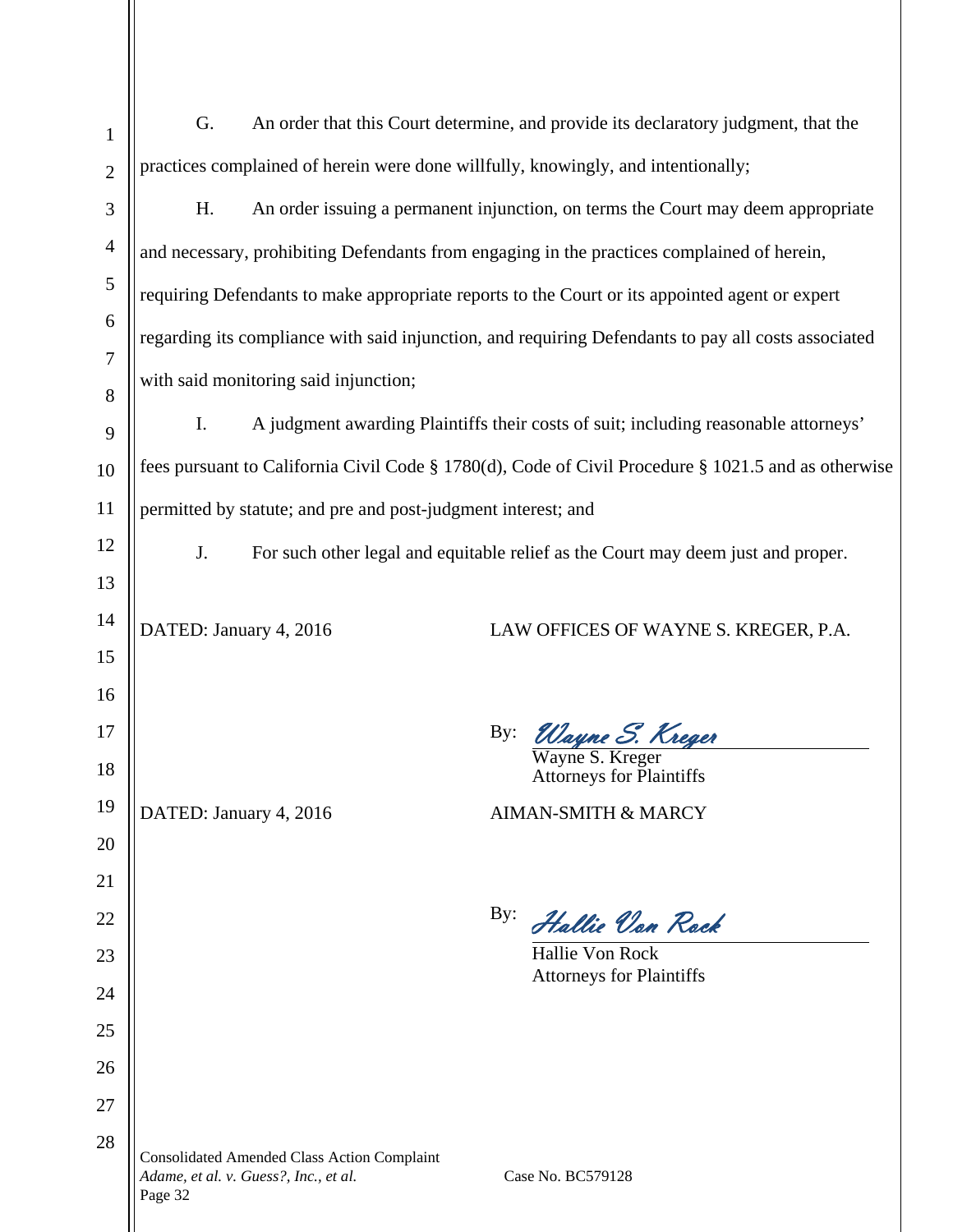| 1              | An order that this Court determine, and provide its declaratory judgment, that the<br>G.            |                                                                                             |     |                                                                                                     |
|----------------|-----------------------------------------------------------------------------------------------------|---------------------------------------------------------------------------------------------|-----|-----------------------------------------------------------------------------------------------------|
| $\overline{2}$ | practices complained of herein were done willfully, knowingly, and intentionally;                   |                                                                                             |     |                                                                                                     |
| 3              | H.                                                                                                  | An order issuing a permanent injunction, on terms the Court may deem appropriate            |     |                                                                                                     |
| $\overline{4}$ |                                                                                                     | and necessary, prohibiting Defendants from engaging in the practices complained of herein,  |     |                                                                                                     |
| 5              | requiring Defendants to make appropriate reports to the Court or its appointed agent or expert      |                                                                                             |     |                                                                                                     |
| 6              | regarding its compliance with said injunction, and requiring Defendants to pay all costs associated |                                                                                             |     |                                                                                                     |
| 7<br>8         |                                                                                                     | with said monitoring said injunction;                                                       |     |                                                                                                     |
| 9              | Ι.                                                                                                  |                                                                                             |     | A judgment awarding Plaintiffs their costs of suit; including reasonable attorneys'                 |
| 10             |                                                                                                     |                                                                                             |     | fees pursuant to California Civil Code § 1780(d), Code of Civil Procedure § 1021.5 and as otherwise |
| 11             | permitted by statute; and pre and post-judgment interest; and                                       |                                                                                             |     |                                                                                                     |
| 12             | For such other legal and equitable relief as the Court may deem just and proper.<br>J.              |                                                                                             |     |                                                                                                     |
| 13             |                                                                                                     |                                                                                             |     |                                                                                                     |
| 14             | DATED: January 4, 2016                                                                              |                                                                                             |     | LAW OFFICES OF WAYNE S. KREGER, P.A.                                                                |
| 15             |                                                                                                     |                                                                                             |     |                                                                                                     |
| 16             |                                                                                                     |                                                                                             |     |                                                                                                     |
| 17             |                                                                                                     |                                                                                             | By: | Wayne S. Kreger<br>Wayne S. Kreger                                                                  |
| 18             |                                                                                                     |                                                                                             |     | Attorneys for Plaintiffs                                                                            |
| 19             | DATED: January 4, 2016                                                                              |                                                                                             |     | <b>AIMAN-SMITH &amp; MARCY</b>                                                                      |
| 20<br>21       |                                                                                                     |                                                                                             |     |                                                                                                     |
| 22             |                                                                                                     |                                                                                             | By: | Hallie Von Rock                                                                                     |
| 23             |                                                                                                     |                                                                                             |     | <b>Hallie Von Rock</b>                                                                              |
| 24             |                                                                                                     |                                                                                             |     | <b>Attorneys for Plaintiffs</b>                                                                     |
| 25             |                                                                                                     |                                                                                             |     |                                                                                                     |
| 26             |                                                                                                     |                                                                                             |     |                                                                                                     |
| 27             |                                                                                                     |                                                                                             |     |                                                                                                     |
| 28             | Page 32                                                                                             | <b>Consolidated Amended Class Action Complaint</b><br>Adame, et al. v. Guess?, Inc., et al. |     | Case No. BC579128                                                                                   |